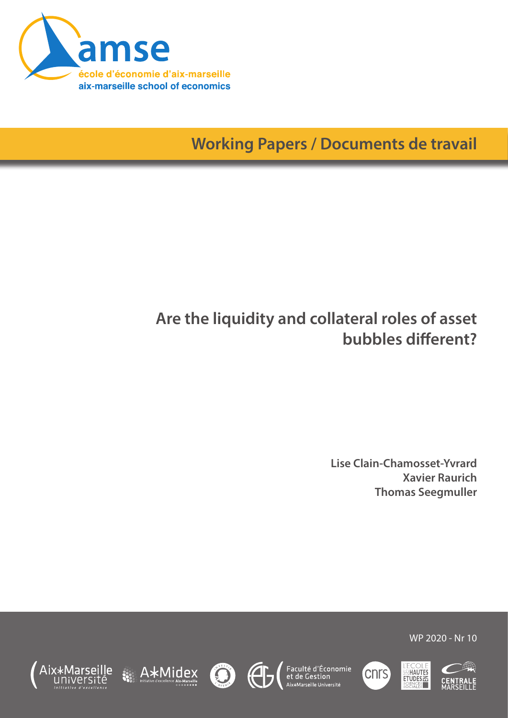

**Working Papers / Documents de travail**

# **Are the liquidity and collateral roles of asset bubbles different?**

**Lise Clain-Chamosset-Yvrard Xavier Raurich Thomas Seegmuller**

WP 2020 - Nr 10













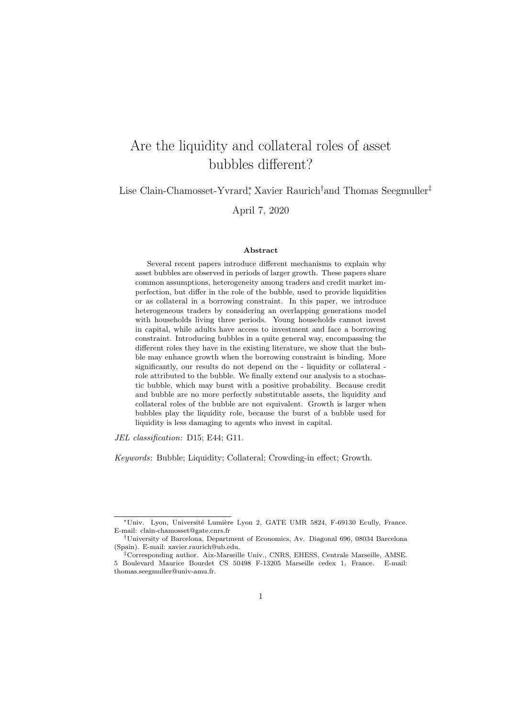## Are the liquidity and collateral roles of asset bubbles different?

Lise Clain-Chamosset-Yvrard<sup>∗</sup> , Xavier Raurich†and Thomas Seegmuller‡

April 7, 2020

#### Abstract

Several recent papers introduce different mechanisms to explain why asset bubbles are observed in periods of larger growth. These papers share common assumptions, heterogeneity among traders and credit market imperfection, but differ in the role of the bubble, used to provide liquidities or as collateral in a borrowing constraint. In this paper, we introduce heterogeneous traders by considering an overlapping generations model with households living three periods. Young households cannot invest in capital, while adults have access to investment and face a borrowing constraint. Introducing bubbles in a quite general way, encompassing the different roles they have in the existing literature, we show that the bubble may enhance growth when the borrowing constraint is binding. More significantly, our results do not depend on the - liquidity or collateral role attributed to the bubble. We finally extend our analysis to a stochastic bubble, which may burst with a positive probability. Because credit and bubble are no more perfectly substitutable assets, the liquidity and collateral roles of the bubble are not equivalent. Growth is larger when bubbles play the liquidity role, because the burst of a bubble used for liquidity is less damaging to agents who invest in capital.

JEL classification: D15; E44; G11.

Keywords: Bubble; Liquidity; Collateral; Crowding-in effect; Growth.

<sup>∗</sup>Univ. Lyon, Universit´e Lumi`ere Lyon 2, GATE UMR 5824, F-69130 Ecully, France. E-mail: clain-chamosset@gate.cnrs.fr

<sup>†</sup>University of Barcelona, Department of Economics, Av. Diagonal 696, 08034 Barcelona (Spain). E-mail: xavier.raurich@ub.edu.

<sup>‡</sup>Corresponding author. Aix-Marseille Univ., CNRS, EHESS, Centrale Marseille, AMSE. 5 Boulevard Maurice Bourdet CS 50498 F-13205 Marseille cedex 1, France. E-mail: thomas.seegmuller@univ-amu.fr.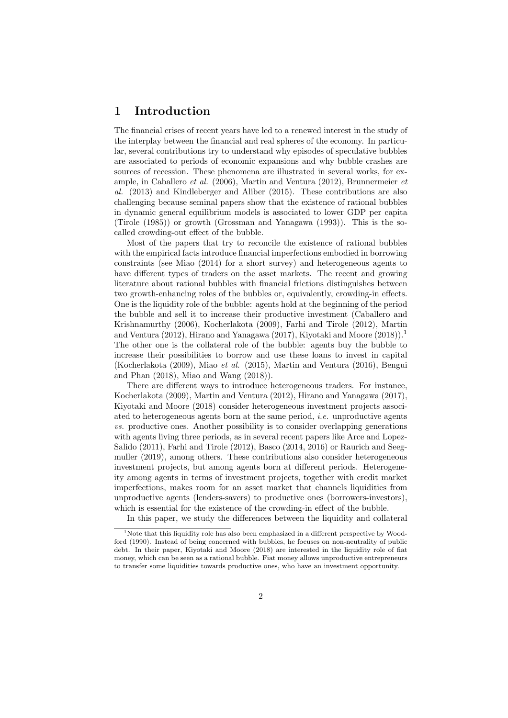### 1 Introduction

The financial crises of recent years have led to a renewed interest in the study of the interplay between the financial and real spheres of the economy. In particular, several contributions try to understand why episodes of speculative bubbles are associated to periods of economic expansions and why bubble crashes are sources of recession. These phenomena are illustrated in several works, for example, in Caballero et al. (2006), Martin and Ventura (2012), Brunnermeier et al. (2013) and Kindleberger and Aliber (2015). These contributions are also challenging because seminal papers show that the existence of rational bubbles in dynamic general equilibrium models is associated to lower GDP per capita (Tirole (1985)) or growth (Grossman and Yanagawa (1993)). This is the socalled crowding-out effect of the bubble.

Most of the papers that try to reconcile the existence of rational bubbles with the empirical facts introduce financial imperfections embodied in borrowing constraints (see Miao (2014) for a short survey) and heterogeneous agents to have different types of traders on the asset markets. The recent and growing literature about rational bubbles with financial frictions distinguishes between two growth-enhancing roles of the bubbles or, equivalently, crowding-in effects. One is the liquidity role of the bubble: agents hold at the beginning of the period the bubble and sell it to increase their productive investment (Caballero and Krishnamurthy (2006), Kocherlakota (2009), Farhi and Tirole (2012), Martin and Ventura (2012), Hirano and Yanagawa (2017), Kiyotaki and Moore (2018)).<sup>1</sup> The other one is the collateral role of the bubble: agents buy the bubble to increase their possibilities to borrow and use these loans to invest in capital (Kocherlakota (2009), Miao et al. (2015), Martin and Ventura (2016), Bengui and Phan (2018), Miao and Wang (2018)).

There are different ways to introduce heterogeneous traders. For instance, Kocherlakota (2009), Martin and Ventura (2012), Hirano and Yanagawa (2017), Kiyotaki and Moore (2018) consider heterogeneous investment projects associated to heterogeneous agents born at the same period, *i.e.* unproductive agents vs. productive ones. Another possibility is to consider overlapping generations with agents living three periods, as in several recent papers like Arce and Lopez-Salido (2011), Farhi and Tirole (2012), Basco (2014, 2016) or Raurich and Seegmuller (2019), among others. These contributions also consider heterogeneous investment projects, but among agents born at different periods. Heterogeneity among agents in terms of investment projects, together with credit market imperfections, makes room for an asset market that channels liquidities from unproductive agents (lenders-savers) to productive ones (borrowers-investors), which is essential for the existence of the crowding-in effect of the bubble.

In this paper, we study the differences between the liquidity and collateral

<sup>&</sup>lt;sup>1</sup>Note that this liquidity role has also been emphasized in a different perspective by Woodford (1990). Instead of being concerned with bubbles, he focuses on non-neutrality of public debt. In their paper, Kiyotaki and Moore (2018) are interested in the liquidity role of fiat money, which can be seen as a rational bubble. Fiat money allows unproductive entrepreneurs to transfer some liquidities towards productive ones, who have an investment opportunity.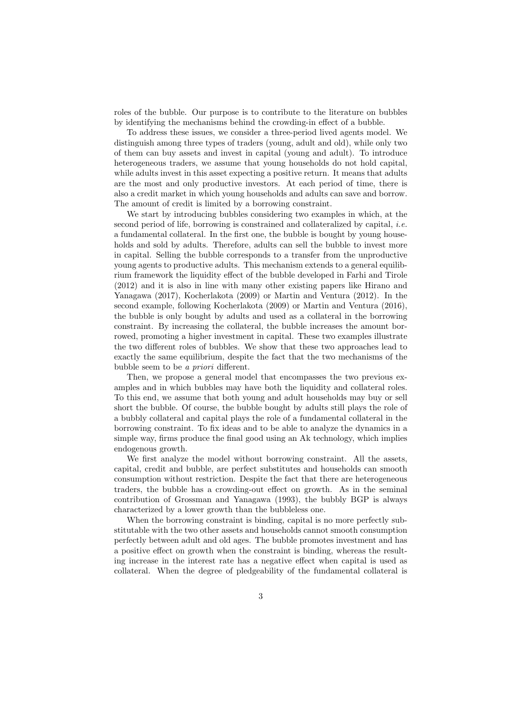roles of the bubble. Our purpose is to contribute to the literature on bubbles by identifying the mechanisms behind the crowding-in effect of a bubble.

To address these issues, we consider a three-period lived agents model. We distinguish among three types of traders (young, adult and old), while only two of them can buy assets and invest in capital (young and adult). To introduce heterogeneous traders, we assume that young households do not hold capital, while adults invest in this asset expecting a positive return. It means that adults are the most and only productive investors. At each period of time, there is also a credit market in which young households and adults can save and borrow. The amount of credit is limited by a borrowing constraint.

We start by introducing bubbles considering two examples in which, at the second period of life, borrowing is constrained and collateralized by capital, i.e. a fundamental collateral. In the first one, the bubble is bought by young households and sold by adults. Therefore, adults can sell the bubble to invest more in capital. Selling the bubble corresponds to a transfer from the unproductive young agents to productive adults. This mechanism extends to a general equilibrium framework the liquidity effect of the bubble developed in Farhi and Tirole (2012) and it is also in line with many other existing papers like Hirano and Yanagawa (2017), Kocherlakota (2009) or Martin and Ventura (2012). In the second example, following Kocherlakota (2009) or Martin and Ventura (2016), the bubble is only bought by adults and used as a collateral in the borrowing constraint. By increasing the collateral, the bubble increases the amount borrowed, promoting a higher investment in capital. These two examples illustrate the two different roles of bubbles. We show that these two approaches lead to exactly the same equilibrium, despite the fact that the two mechanisms of the bubble seem to be a priori different.

Then, we propose a general model that encompasses the two previous examples and in which bubbles may have both the liquidity and collateral roles. To this end, we assume that both young and adult households may buy or sell short the bubble. Of course, the bubble bought by adults still plays the role of a bubbly collateral and capital plays the role of a fundamental collateral in the borrowing constraint. To fix ideas and to be able to analyze the dynamics in a simple way, firms produce the final good using an Ak technology, which implies endogenous growth.

We first analyze the model without borrowing constraint. All the assets, capital, credit and bubble, are perfect substitutes and households can smooth consumption without restriction. Despite the fact that there are heterogeneous traders, the bubble has a crowding-out effect on growth. As in the seminal contribution of Grossman and Yanagawa (1993), the bubbly BGP is always characterized by a lower growth than the bubbleless one.

When the borrowing constraint is binding, capital is no more perfectly substitutable with the two other assets and households cannot smooth consumption perfectly between adult and old ages. The bubble promotes investment and has a positive effect on growth when the constraint is binding, whereas the resulting increase in the interest rate has a negative effect when capital is used as collateral. When the degree of pledgeability of the fundamental collateral is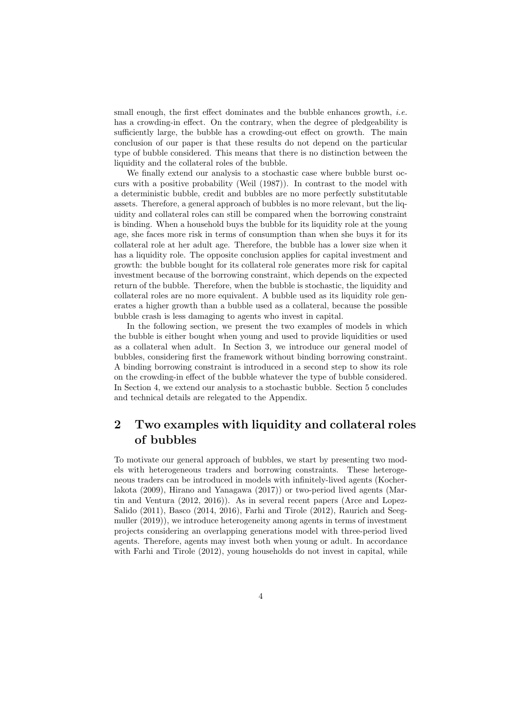small enough, the first effect dominates and the bubble enhances growth, *i.e.* has a crowding-in effect. On the contrary, when the degree of pledgeability is sufficiently large, the bubble has a crowding-out effect on growth. The main conclusion of our paper is that these results do not depend on the particular type of bubble considered. This means that there is no distinction between the liquidity and the collateral roles of the bubble.

We finally extend our analysis to a stochastic case where bubble burst occurs with a positive probability (Weil (1987)). In contrast to the model with a deterministic bubble, credit and bubbles are no more perfectly substitutable assets. Therefore, a general approach of bubbles is no more relevant, but the liquidity and collateral roles can still be compared when the borrowing constraint is binding. When a household buys the bubble for its liquidity role at the young age, she faces more risk in terms of consumption than when she buys it for its collateral role at her adult age. Therefore, the bubble has a lower size when it has a liquidity role. The opposite conclusion applies for capital investment and growth: the bubble bought for its collateral role generates more risk for capital investment because of the borrowing constraint, which depends on the expected return of the bubble. Therefore, when the bubble is stochastic, the liquidity and collateral roles are no more equivalent. A bubble used as its liquidity role generates a higher growth than a bubble used as a collateral, because the possible bubble crash is less damaging to agents who invest in capital.

In the following section, we present the two examples of models in which the bubble is either bought when young and used to provide liquidities or used as a collateral when adult. In Section 3, we introduce our general model of bubbles, considering first the framework without binding borrowing constraint. A binding borrowing constraint is introduced in a second step to show its role on the crowding-in effect of the bubble whatever the type of bubble considered. In Section 4, we extend our analysis to a stochastic bubble. Section 5 concludes and technical details are relegated to the Appendix.

### 2 Two examples with liquidity and collateral roles of bubbles

To motivate our general approach of bubbles, we start by presenting two models with heterogeneous traders and borrowing constraints. These heterogeneous traders can be introduced in models with infinitely-lived agents (Kocherlakota (2009), Hirano and Yanagawa (2017)) or two-period lived agents (Martin and Ventura (2012, 2016)). As in several recent papers (Arce and Lopez-Salido (2011), Basco (2014, 2016), Farhi and Tirole (2012), Raurich and Seegmuller (2019)), we introduce heterogeneity among agents in terms of investment projects considering an overlapping generations model with three-period lived agents. Therefore, agents may invest both when young or adult. In accordance with Farhi and Tirole (2012), young households do not invest in capital, while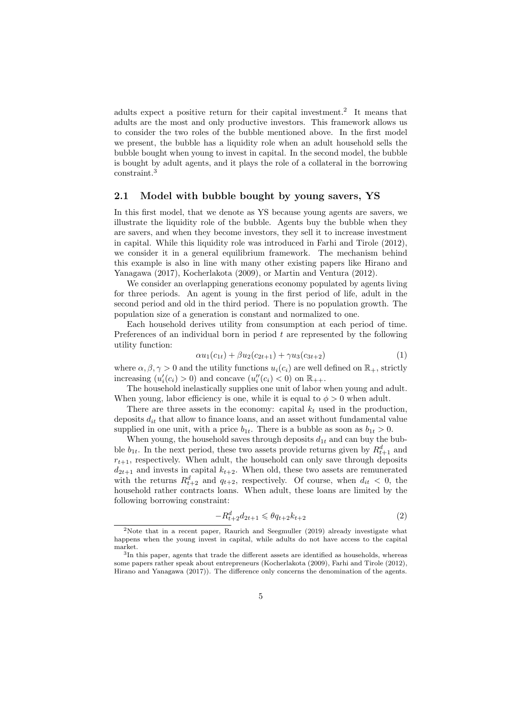adults expect a positive return for their capital investment.<sup>2</sup> It means that adults are the most and only productive investors. This framework allows us to consider the two roles of the bubble mentioned above. In the first model we present, the bubble has a liquidity role when an adult household sells the bubble bought when young to invest in capital. In the second model, the bubble is bought by adult agents, and it plays the role of a collateral in the borrowing constraint.<sup>3</sup>

### 2.1 Model with bubble bought by young savers, YS

In this first model, that we denote as YS because young agents are savers, we illustrate the liquidity role of the bubble. Agents buy the bubble when they are savers, and when they become investors, they sell it to increase investment in capital. While this liquidity role was introduced in Farhi and Tirole (2012), we consider it in a general equilibrium framework. The mechanism behind this example is also in line with many other existing papers like Hirano and Yanagawa (2017), Kocherlakota (2009), or Martin and Ventura (2012).

We consider an overlapping generations economy populated by agents living for three periods. An agent is young in the first period of life, adult in the second period and old in the third period. There is no population growth. The population size of a generation is constant and normalized to one.

Each household derives utility from consumption at each period of time. Preferences of an individual born in period  $t$  are represented by the following utility function:

$$
\alpha u_1(c_{1t}) + \beta u_2(c_{2t+1}) + \gamma u_3(c_{3t+2}) \tag{1}
$$

where  $\alpha, \beta, \gamma > 0$  and the utility functions  $u_i(c_i)$  are well defined on  $\mathbb{R}_+$ , strictly increasing  $(u_i'(c_i) > 0)$  and concave  $(u_i''(c_i) < 0)$  on  $\mathbb{R}_{++}$ .

The household inelastically supplies one unit of labor when young and adult. When young, labor efficiency is one, while it is equal to  $\phi > 0$  when adult.

There are three assets in the economy: capital  $k_t$  used in the production, deposits  $d_{it}$  that allow to finance loans, and an asset without fundamental value supplied in one unit, with a price  $b_{1t}$ . There is a bubble as soon as  $b_{1t} > 0$ .

When young, the household saves through deposits  $d_{1t}$  and can buy the bubble  $b_{1t}$ . In the next period, these two assets provide returns given by  $R_{t+1}^d$  and  $r_{t+1}$ , respectively. When adult, the household can only save through deposits  $d_{2t+1}$  and invests in capital  $k_{t+2}$ . When old, these two assets are remunerated with the returns  $R_{t+2}^d$  and  $q_{t+2}$ , respectively. Of course, when  $d_{it} < 0$ , the household rather contracts loans. When adult, these loans are limited by the following borrowing constraint:

$$
-R_{t+2}^d d_{2t+1} \leqslant \theta q_{t+2} k_{t+2} \tag{2}
$$

<sup>2</sup>Note that in a recent paper, Raurich and Seegmuller (2019) already investigate what happens when the young invest in capital, while adults do not have access to the capital market.

<sup>3</sup> In this paper, agents that trade the different assets are identified as households, whereas some papers rather speak about entrepreneurs (Kocherlakota (2009), Farhi and Tirole (2012), Hirano and Yanagawa (2017)). The difference only concerns the denomination of the agents.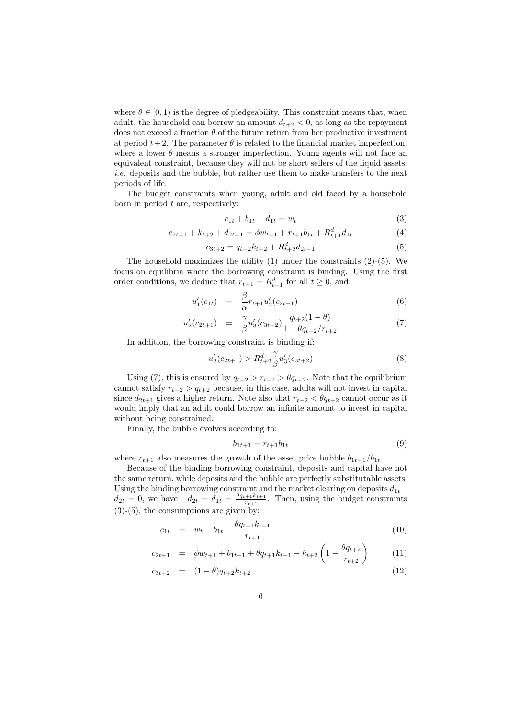where  $\theta \in [0, 1)$  is the degree of pledgeability. This constraint means that, when adult, the household can borrow an amount  $d_{t+2} < 0$ , as long as the repayment does not exceed a fraction  $\theta$  of the future return from her productive investment at period  $t+2$ . The parameter  $\theta$  is related to the financial market imperfection, where a lower  $\theta$  means a stronger imperfection. Young agents will not face an equivalent constraint, because they will not be short sellers of the liquid assets, i.e. deposits and the bubble, but rather use them to make transfers to the next periods of life.

The budget constraints when young, adult and old faced by a household born in period  $t$  are, respectively:

$$
c_{1t} + b_{1t} + d_{1t} = w_t \tag{3}
$$

$$
c_{2t+1} + k_{t+2} + d_{2t+1} = \phi w_{t+1} + r_{t+1}b_{1t} + R_{t+1}^d d_{1t}
$$
\n<sup>(4)</sup>

$$
c_{3t+2} = q_{t+2}k_{t+2} + R_{t+2}^d d_{2t+1}
$$
\n<sup>(5)</sup>

The household maximizes the utility  $(1)$  under the constraints  $(2)-(5)$ . We focus on equilibria where the borrowing constraint is binding. Using the first order conditions, we deduce that  $r_{t+1} = R_{t+1}^d$  for all  $t \geq 0$ , and:

$$
u_1'(c_{1t}) = \frac{\beta}{\alpha} r_{t+1} u_2'(c_{2t+1}) \tag{6}
$$

$$
u_2'(c_{2t+1}) = \frac{\gamma}{\beta} u_3'(c_{3t+2}) \frac{q_{t+2}(1-\theta)}{1 - \theta q_{t+2}/r_{t+2}}
$$
(7)

In addition, the borrowing constraint is binding if:

$$
u_2'(c_{2t+1}) > R_{t+2}^d \frac{\gamma}{\beta} u_3'(c_{3t+2})
$$
\n(8)

Using (7), this is ensured by  $q_{t+2} > r_{t+2} > \theta q_{t+2}$ . Note that the equilibrium cannot satisfy  $r_{t+2} > q_{t+2}$  because, in this case, adults will not invest in capital since  $d_{2t+1}$  gives a higher return. Note also that  $r_{t+2} < \theta q_{t+2}$  cannot occur as it would imply that an adult could borrow an infinite amount to invest in capital without being constrained.

Finally, the bubble evolves according to:

$$
b_{1t+1} = r_{t+1}b_{1t} \tag{9}
$$

where  $r_{t+1}$  also measures the growth of the asset price bubble  $b_{1t+1}/b_{1t}$ .

Because of the binding borrowing constraint, deposits and capital have not the same return, while deposits and the bubble are perfectly substitutable assets. Using the binding borrowing constraint and the market clearing on deposits  $d_{1t}$ +  $d_{2t} = 0$ , we have  $-d_{2t} = d_{1t} = \frac{\theta q_{t+1} k_{t+1}}{r_{t+1}}$  $\frac{r_{t+1} + r_{t+1}}{r_{t+1}}$ . Then, using the budget constraints (3)-(5), the consumptions are given by:

$$
c_{1t} = w_t - b_{1t} - \frac{\theta q_{t+1} k_{t+1}}{r_{t+1}} \tag{10}
$$

$$
c_{2t+1} = \phi w_{t+1} + b_{1t+1} + \theta q_{t+1} k_{t+1} - k_{t+2} \left( 1 - \frac{\theta q_{t+2}}{r_{t+2}} \right) \tag{11}
$$

$$
c_{3t+2} = (1 - \theta)q_{t+2}k_{t+2} \tag{12}
$$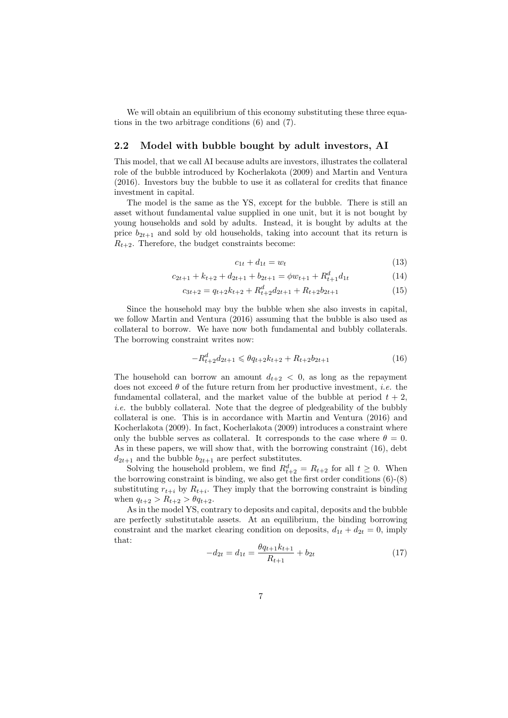We will obtain an equilibrium of this economy substituting these three equations in the two arbitrage conditions (6) and (7).

#### 2.2 Model with bubble bought by adult investors, AI

This model, that we call AI because adults are investors, illustrates the collateral role of the bubble introduced by Kocherlakota (2009) and Martin and Ventura (2016). Investors buy the bubble to use it as collateral for credits that finance investment in capital.

The model is the same as the YS, except for the bubble. There is still an asset without fundamental value supplied in one unit, but it is not bought by young households and sold by adults. Instead, it is bought by adults at the price  $b_{2t+1}$  and sold by old households, taking into account that its return is  $R_{t+2}$ . Therefore, the budget constraints become:

$$
c_{1t} + d_{1t} = w_t \tag{13}
$$

$$
c_{2t+1} + k_{t+2} + d_{2t+1} + b_{2t+1} = \phi w_{t+1} + R_{t+1}^d d_{1t}
$$
\n
$$
(14)
$$

$$
c_{3t+2} = q_{t+2}k_{t+2} + R_{t+2}^d d_{2t+1} + R_{t+2}b_{2t+1}
$$
\n(15)

Since the household may buy the bubble when she also invests in capital, we follow Martin and Ventura (2016) assuming that the bubble is also used as collateral to borrow. We have now both fundamental and bubbly collaterals. The borrowing constraint writes now:

$$
-R_{t+2}^d d_{2t+1} \leqslant \theta q_{t+2} k_{t+2} + R_{t+2} b_{2t+1}
$$
\n<sup>(16)</sup>

The household can borrow an amount  $d_{t+2} < 0$ , as long as the repayment does not exceed  $\theta$  of the future return from her productive investment, *i.e.* the fundamental collateral, and the market value of the bubble at period  $t + 2$ . i.e. the bubbly collateral. Note that the degree of pledgeability of the bubbly collateral is one. This is in accordance with Martin and Ventura (2016) and Kocherlakota (2009). In fact, Kocherlakota (2009) introduces a constraint where only the bubble serves as collateral. It corresponds to the case where  $\theta = 0$ . As in these papers, we will show that, with the borrowing constraint (16), debt  $d_{2t+1}$  and the bubble  $b_{2t+1}$  are perfect substitutes.

Solving the household problem, we find  $R_{t+2}^d = R_{t+2}$  for all  $t \geq 0$ . When the borrowing constraint is binding, we also get the first order conditions (6)-(8) substituting  $r_{t+i}$  by  $R_{t+i}$ . They imply that the borrowing constraint is binding when  $q_{t+2} > R_{t+2} > \theta q_{t+2}$ .

As in the model YS, contrary to deposits and capital, deposits and the bubble are perfectly substitutable assets. At an equilibrium, the binding borrowing constraint and the market clearing condition on deposits,  $d_{1t} + d_{2t} = 0$ , imply that:

$$
-d_{2t} = d_{1t} = \frac{\theta q_{t+1} k_{t+1}}{R_{t+1}} + b_{2t}
$$
\n(17)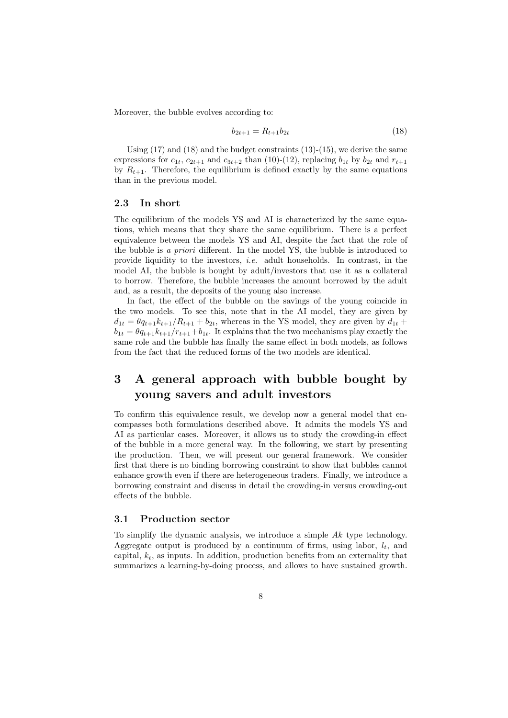Moreover, the bubble evolves according to:

$$
b_{2t+1} = R_{t+1}b_{2t} \tag{18}
$$

Using  $(17)$  and  $(18)$  and the budget constraints  $(13)-(15)$ , we derive the same expressions for  $c_{1t}$ ,  $c_{2t+1}$  and  $c_{3t+2}$  than (10)-(12), replacing  $b_{1t}$  by  $b_{2t}$  and  $r_{t+1}$ by  $R_{t+1}$ . Therefore, the equilibrium is defined exactly by the same equations than in the previous model.

#### 2.3 In short

The equilibrium of the models YS and AI is characterized by the same equations, which means that they share the same equilibrium. There is a perfect equivalence between the models YS and AI, despite the fact that the role of the bubble is a priori different. In the model YS, the bubble is introduced to provide liquidity to the investors, i.e. adult households. In contrast, in the model AI, the bubble is bought by adult/investors that use it as a collateral to borrow. Therefore, the bubble increases the amount borrowed by the adult and, as a result, the deposits of the young also increase.

In fact, the effect of the bubble on the savings of the young coincide in the two models. To see this, note that in the AI model, they are given by  $d_{1t} = \theta q_{t+1} k_{t+1} / R_{t+1} + b_{2t}$ , whereas in the YS model, they are given by  $d_{1t}$  +  $b_{1t} = \theta q_{t+1} k_{t+1}/r_{t+1} + b_{1t}$ . It explains that the two mechanisms play exactly the same role and the bubble has finally the same effect in both models, as follows from the fact that the reduced forms of the two models are identical.

### 3 A general approach with bubble bought by young savers and adult investors

To confirm this equivalence result, we develop now a general model that encompasses both formulations described above. It admits the models YS and AI as particular cases. Moreover, it allows us to study the crowding-in effect of the bubble in a more general way. In the following, we start by presenting the production. Then, we will present our general framework. We consider first that there is no binding borrowing constraint to show that bubbles cannot enhance growth even if there are heterogeneous traders. Finally, we introduce a borrowing constraint and discuss in detail the crowding-in versus crowding-out effects of the bubble.

#### 3.1 Production sector

To simplify the dynamic analysis, we introduce a simple Ak type technology. Aggregate output is produced by a continuum of firms, using labor,  $l_t$ , and capital,  $k_t$ , as inputs. In addition, production benefits from an externality that summarizes a learning-by-doing process, and allows to have sustained growth.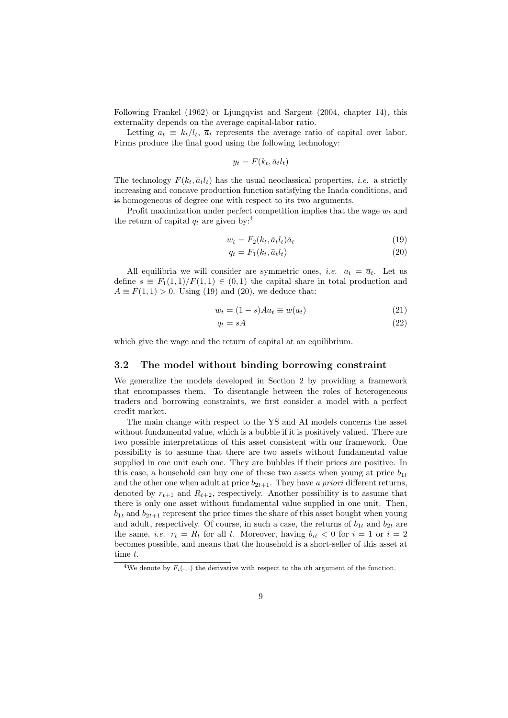Following Frankel (1962) or Ljungqvist and Sargent (2004, chapter 14), this externality depends on the average capital-labor ratio.

Letting  $a_t \equiv k_t/l_t$ ,  $\bar{a}_t$  represents the average ratio of capital over labor. Firms produce the final good using the following technology:

$$
y_t = F(k_t, \bar{a}_t l_t)
$$

The technology  $F(k_t, \bar{a}_t l_t)$  has the usual neoclassical properties, *i.e.* a strictly increasing and concave production function satisfying the Inada conditions, and is homogeneous of degree one with respect to its two arguments.

Profit maximization under perfect competition implies that the wage  $w_t$  and the return of capital  $q_t$  are given by:<sup>4</sup>

$$
w_t = F_2(k_t, \bar{a}_t l_t) \bar{a}_t \tag{19}
$$

$$
q_t = F_1(k_t, \bar{a}_t l_t) \tag{20}
$$

All equilibria we will consider are symmetric ones, *i.e.*  $a_t = \overline{a}_t$ . Let us define  $s \equiv F_1(1,1)/F(1,1) \in (0,1)$  the capital share in total production and  $A \equiv F(1, 1) > 0$ . Using (19) and (20), we deduce that:

$$
w_t = (1 - s)Aa_t \equiv w(a_t) \tag{21}
$$

$$
q_t = sA \tag{22}
$$

which give the wage and the return of capital at an equilibrium.

#### 3.2 The model without binding borrowing constraint

We generalize the models developed in Section 2 by providing a framework that encompasses them. To disentangle between the roles of heterogeneous traders and borrowing constraints, we first consider a model with a perfect credit market.

The main change with respect to the YS and AI models concerns the asset without fundamental value, which is a bubble if it is positively valued. There are two possible interpretations of this asset consistent with our framework. One possibility is to assume that there are two assets without fundamental value supplied in one unit each one. They are bubbles if their prices are positive. In this case, a household can buy one of these two assets when young at price  $b_{1t}$ and the other one when adult at price  $b_{2t+1}$ . They have a priori different returns, denoted by  $r_{t+1}$  and  $R_{t+2}$ , respectively. Another possibility is to assume that there is only one asset without fundamental value supplied in one unit. Then,  $b_{1t}$  and  $b_{2t+1}$  represent the price times the share of this asset bought when young and adult, respectively. Of course, in such a case, the returns of  $b_{1t}$  and  $b_{2t}$  are the same, *i.e.*  $r_t = R_t$  for all t. Moreover, having  $b_{it} < 0$  for  $i = 1$  or  $i = 2$ becomes possible, and means that the household is a short-seller of this asset at time t.

<sup>&</sup>lt;sup>4</sup>We denote by  $F_i(.,.)$  the derivative with respect to the *i*th argument of the function.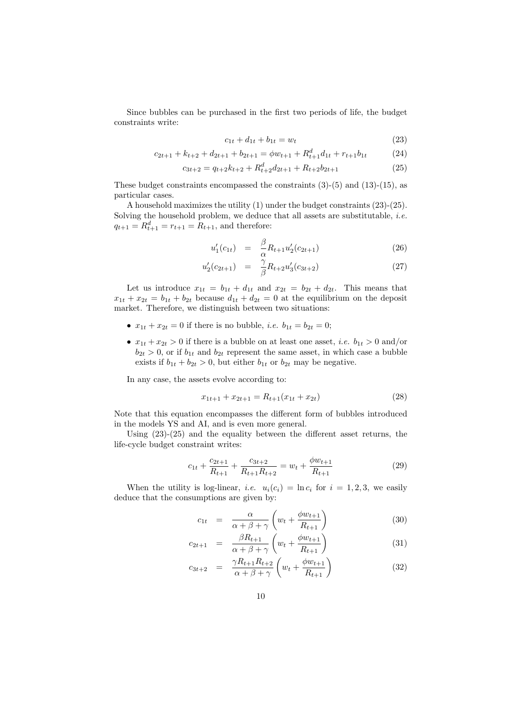Since bubbles can be purchased in the first two periods of life, the budget constraints write:

$$
c_{1t} + d_{1t} + b_{1t} = w_t \tag{23}
$$

$$
c_{2t+1} + k_{t+2} + d_{2t+1} + b_{2t+1} = \phi w_{t+1} + R_{t+1}^d d_{1t} + r_{t+1} b_{1t}
$$
 (24)

$$
c_{3t+2} = q_{t+2}k_{t+2} + R_{t+2}^d d_{2t+1} + R_{t+2}b_{2t+1}
$$
\n
$$
(25)
$$

These budget constraints encompassed the constraints  $(3)-(5)$  and  $(13)-(15)$ , as particular cases.

A household maximizes the utility (1) under the budget constraints (23)-(25). Solving the household problem, we deduce that all assets are substitutable, *i.e.*  $q_{t+1} = R_{t+1}^d = r_{t+1} = R_{t+1}$ , and therefore:

$$
u_1'(c_{1t}) = \frac{\beta}{\alpha} R_{t+1} u_2'(c_{2t+1}) \tag{26}
$$

$$
u_2'(c_{2t+1}) = \frac{\gamma}{\beta} R_{t+2} u_3'(c_{3t+2}) \tag{27}
$$

Let us introduce  $x_{1t} = b_{1t} + d_{1t}$  and  $x_{2t} = b_{2t} + d_{2t}$ . This means that  $x_{1t} + x_{2t} = b_{1t} + b_{2t}$  because  $d_{1t} + d_{2t} = 0$  at the equilibrium on the deposit market. Therefore, we distinguish between two situations:

- $x_{1t} + x_{2t} = 0$  if there is no bubble, *i.e.*  $b_{1t} = b_{2t} = 0$ ;
- $x_{1t} + x_{2t} > 0$  if there is a bubble on at least one asset, *i.e.*  $b_{1t} > 0$  and/or  $b_{2t} > 0$ , or if  $b_{1t}$  and  $b_{2t}$  represent the same asset, in which case a bubble exists if  $b_{1t} + b_{2t} > 0$ , but either  $b_{1t}$  or  $b_{2t}$  may be negative.

In any case, the assets evolve according to:

$$
x_{1t+1} + x_{2t+1} = R_{t+1}(x_{1t} + x_{2t})
$$
\n(28)

Note that this equation encompasses the different form of bubbles introduced in the models YS and AI, and is even more general.

Using  $(23)-(25)$  and the equality between the different asset returns, the life-cycle budget constraint writes:

$$
c_{1t} + \frac{c_{2t+1}}{R_{t+1}} + \frac{c_{3t+2}}{R_{t+1}R_{t+2}} = w_t + \frac{\phi w_{t+1}}{R_{t+1}}
$$
(29)

When the utility is log-linear, *i.e.*  $u_i(c_i) = \ln c_i$  for  $i = 1, 2, 3$ , we easily deduce that the consumptions are given by:

$$
c_{1t} = \frac{\alpha}{\alpha + \beta + \gamma} \left( w_t + \frac{\phi w_{t+1}}{R_{t+1}} \right) \tag{30}
$$

$$
c_{2t+1} = \frac{\beta R_{t+1}}{\alpha + \beta + \gamma} \left( w_t + \frac{\phi w_{t+1}}{R_{t+1}} \right) \tag{31}
$$

$$
c_{3t+2} = \frac{\gamma R_{t+1} R_{t+2}}{\alpha + \beta + \gamma} \left( w_t + \frac{\phi w_{t+1}}{R_{t+1}} \right)
$$
 (32)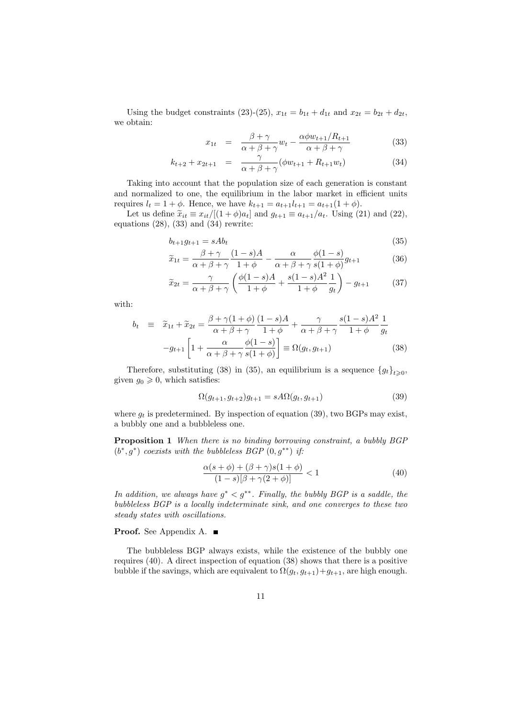Using the budget constraints (23)-(25),  $x_{1t} = b_{1t} + d_{1t}$  and  $x_{2t} = b_{2t} + d_{2t}$ , we obtain:

$$
x_{1t} = \frac{\beta + \gamma}{\alpha + \beta + \gamma} w_t - \frac{\alpha \phi w_{t+1} / R_{t+1}}{\alpha + \beta + \gamma}
$$
(33)

$$
k_{t+2} + x_{2t+1} = \frac{\gamma}{\alpha + \beta + \gamma} (\phi w_{t+1} + R_{t+1} w_t)
$$
 (34)

Taking into account that the population size of each generation is constant and normalized to one, the equilibrium in the labor market in efficient units requires  $l_t = 1 + \phi$ . Hence, we have  $k_{t+1} = a_{t+1}l_{t+1} = a_{t+1}(1 + \phi)$ .

Let us define  $\tilde{x}_{it} \equiv x_{it}/[(1+\phi)a_t]$  and  $g_{t+1} \equiv a_{t+1}/a_t$ . Using (21) and (22), equations  $(28)$ ,  $(33)$  and  $(34)$  rewrite:

$$
b_{t+1}g_{t+1} = sAb_t \tag{35}
$$

$$
\widetilde{x}_{1t} = \frac{\beta + \gamma}{\alpha + \beta + \gamma} \frac{(1 - s)A}{1 + \phi} - \frac{\alpha}{\alpha + \beta + \gamma} \frac{\phi(1 - s)}{s(1 + \phi)} g_{t+1}
$$
(36)

$$
\widetilde{x}_{2t} = \frac{\gamma}{\alpha + \beta + \gamma} \left( \frac{\phi(1-s)A}{1+\phi} + \frac{s(1-s)A^2}{1+\phi} \frac{1}{g_t} \right) - g_{t+1} \tag{37}
$$

with:

$$
b_t \equiv \tilde{x}_{1t} + \tilde{x}_{2t} = \frac{\beta + \gamma(1+\phi)}{\alpha + \beta + \gamma} \frac{(1-s)A}{1+\phi} + \frac{\gamma}{\alpha + \beta + \gamma} \frac{s(1-s)A^2}{1+\phi} \frac{1}{g_t}
$$

$$
-g_{t+1} \left[ 1 + \frac{\alpha}{\alpha + \beta + \gamma} \frac{\phi(1-s)}{s(1+\phi)} \right] \equiv \Omega(g_t, g_{t+1}) \tag{38}
$$

Therefore, substituting (38) in (35), an equilibrium is a sequence  $\{g_t\}_{t\geqslant0}$ , given  $g_0 \geq 0$ , which satisfies:

$$
\Omega(g_{t+1}, g_{t+2})g_{t+1} = sA\Omega(g_t, g_{t+1})
$$
\n(39)

where  $g_t$  is predetermined. By inspection of equation (39), two BGPs may exist, a bubbly one and a bubbleless one.

Proposition 1 When there is no binding borrowing constraint, a bubbly BGP  $(b^*, g^*)$  coexists with the bubbleless BGP  $(0, g^{**})$  if:

$$
\frac{\alpha(s+\phi)+(\beta+\gamma)s(1+\phi)}{(1-s)[\beta+\gamma(2+\phi)]} < 1\tag{40}
$$

In addition, we always have  $g^* < g^{**}$ . Finally, the bubbly BGP is a saddle, the bubbleless BGP is a locally indeterminate sink, and one converges to these two steady states with oscillations.

### Proof. See Appendix A. ■

The bubbleless BGP always exists, while the existence of the bubbly one requires (40). A direct inspection of equation (38) shows that there is a positive bubble if the savings, which are equivalent to  $\Omega(g_t, g_{t+1})+g_{t+1}$ , are high enough.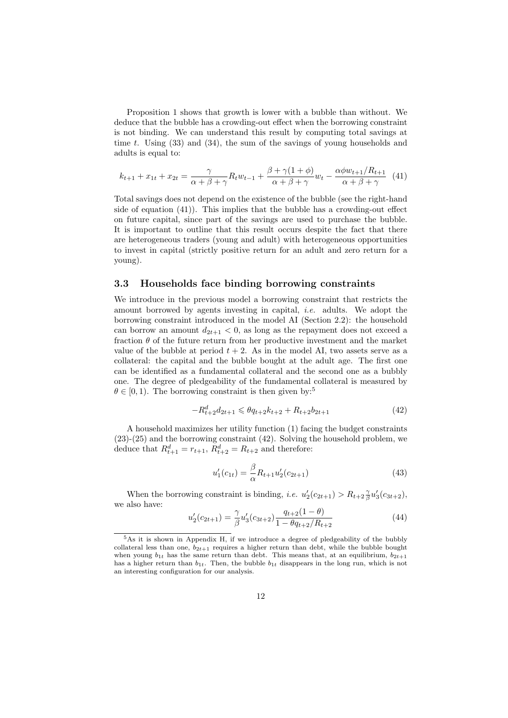Proposition 1 shows that growth is lower with a bubble than without. We deduce that the bubble has a crowding-out effect when the borrowing constraint is not binding. We can understand this result by computing total savings at time t. Using  $(33)$  and  $(34)$ , the sum of the savings of young households and adults is equal to:

$$
k_{t+1} + x_{1t} + x_{2t} = \frac{\gamma}{\alpha + \beta + \gamma} R_t w_{t-1} + \frac{\beta + \gamma(1 + \phi)}{\alpha + \beta + \gamma} w_t - \frac{\alpha \phi w_{t+1} / R_{t+1}}{\alpha + \beta + \gamma} (41)
$$

Total savings does not depend on the existence of the bubble (see the right-hand side of equation (41)). This implies that the bubble has a crowding-out effect on future capital, since part of the savings are used to purchase the bubble. It is important to outline that this result occurs despite the fact that there are heterogeneous traders (young and adult) with heterogeneous opportunities to invest in capital (strictly positive return for an adult and zero return for a young).

#### 3.3 Households face binding borrowing constraints

We introduce in the previous model a borrowing constraint that restricts the amount borrowed by agents investing in capital, i.e. adults. We adopt the borrowing constraint introduced in the model AI (Section 2.2): the household can borrow an amount  $d_{2t+1} < 0$ , as long as the repayment does not exceed a fraction  $\theta$  of the future return from her productive investment and the market value of the bubble at period  $t + 2$ . As in the model AI, two assets serve as a collateral: the capital and the bubble bought at the adult age. The first one can be identified as a fundamental collateral and the second one as a bubbly one. The degree of pledgeability of the fundamental collateral is measured by  $\theta \in [0, 1)$ . The borrowing constraint is then given by:<sup>5</sup>

$$
-R_{t+2}^d d_{2t+1} \leqslant \theta q_{t+2} k_{t+2} + R_{t+2} b_{2t+1}
$$
\n<sup>(42)</sup>

A household maximizes her utility function (1) facing the budget constraints (23)-(25) and the borrowing constraint (42). Solving the household problem, we deduce that  $R_{t+1}^d = r_{t+1}, R_{t+2}^d = R_{t+2}$  and therefore:

$$
u_1'(c_{1t}) = \frac{\beta}{\alpha} R_{t+1} u_2'(c_{2t+1})
$$
\n(43)

When the borrowing constraint is binding, *i.e.*  $u'_2(c_{2t+1}) > R_{t+2} \frac{\gamma}{\beta} u'_3(c_{3t+2}),$ we also have:

$$
u_2'(c_{2t+1}) = \frac{\gamma}{\beta} u_3'(c_{3t+2}) \frac{q_{t+2}(1-\theta)}{1 - \theta q_{t+2}/R_{t+2}}
$$
(44)

 $5$ As it is shown in Appendix H, if we introduce a degree of pledgeability of the bubbly collateral less than one,  $b_{2t+1}$  requires a higher return than debt, while the bubble bought when young  $b_{1t}$  has the same return than debt. This means that, at an equilibrium,  $b_{2t+1}$ has a higher return than  $b_{1t}$ . Then, the bubble  $b_{1t}$  disappears in the long run, which is not an interesting configuration for our analysis.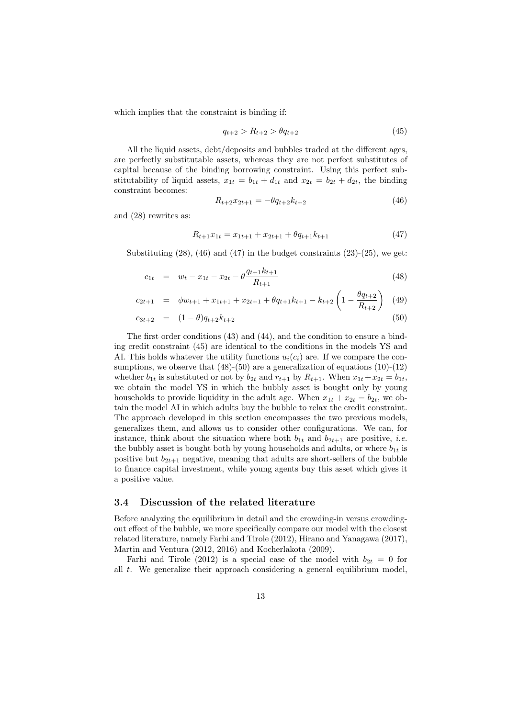which implies that the constraint is binding if:

$$
q_{t+2} > R_{t+2} > \theta q_{t+2} \tag{45}
$$

All the liquid assets, debt/deposits and bubbles traded at the different ages, are perfectly substitutable assets, whereas they are not perfect substitutes of capital because of the binding borrowing constraint. Using this perfect substitutability of liquid assets,  $x_{1t} = b_{1t} + d_{1t}$  and  $x_{2t} = b_{2t} + d_{2t}$ , the binding constraint becomes:

$$
R_{t+2}x_{2t+1} = -\theta q_{t+2}k_{t+2} \tag{46}
$$

and (28) rewrites as:

$$
R_{t+1}x_{1t} = x_{1t+1} + x_{2t+1} + \theta q_{t+1}k_{t+1}
$$
\n
$$
\tag{47}
$$

Substituting  $(28)$ ,  $(46)$  and  $(47)$  in the budget constraints  $(23)-(25)$ , we get:

$$
c_{1t} = w_t - x_{1t} - x_{2t} - \theta \frac{q_{t+1}k_{t+1}}{R_{t+1}}
$$
\n(48)

$$
c_{2t+1} = \phi w_{t+1} + x_{1t+1} + x_{2t+1} + \theta q_{t+1} k_{t+1} - k_{t+2} \left( 1 - \frac{\theta q_{t+2}}{R_{t+2}} \right) \tag{49}
$$

$$
c_{3t+2} = (1 - \theta)q_{t+2}k_{t+2} \tag{50}
$$

The first order conditions (43) and (44), and the condition to ensure a binding credit constraint (45) are identical to the conditions in the models YS and AI. This holds whatever the utility functions  $u_i(c_i)$  are. If we compare the consumptions, we observe that  $(48)-(50)$  are a generalization of equations  $(10)-(12)$ whether  $b_{1t}$  is substituted or not by  $b_{2t}$  and  $r_{t+1}$  by  $R_{t+1}$ . When  $x_{1t} + x_{2t} = b_{1t}$ , we obtain the model YS in which the bubbly asset is bought only by young households to provide liquidity in the adult age. When  $x_{1t} + x_{2t} = b_{2t}$ , we obtain the model AI in which adults buy the bubble to relax the credit constraint. The approach developed in this section encompasses the two previous models, generalizes them, and allows us to consider other configurations. We can, for instance, think about the situation where both  $b_{1t}$  and  $b_{2t+1}$  are positive, *i.e.* the bubbly asset is bought both by young households and adults, or where  $b_{1t}$  is positive but  $b_{2t+1}$  negative, meaning that adults are short-sellers of the bubble to finance capital investment, while young agents buy this asset which gives it a positive value.

#### 3.4 Discussion of the related literature

Before analyzing the equilibrium in detail and the crowding-in versus crowdingout effect of the bubble, we more specifically compare our model with the closest related literature, namely Farhi and Tirole (2012), Hirano and Yanagawa (2017), Martin and Ventura (2012, 2016) and Kocherlakota (2009).

Farhi and Tirole (2012) is a special case of the model with  $b_{2t} = 0$  for all t. We generalize their approach considering a general equilibrium model,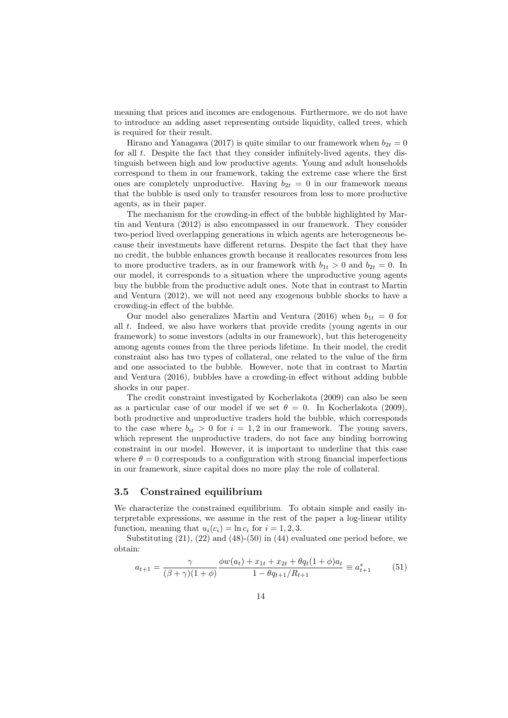meaning that prices and incomes are endogenous. Furthermore, we do not have to introduce an adding asset representing outside liquidity, called trees, which is required for their result.

Hirano and Yanagawa (2017) is quite similar to our framework when  $b_{2t} = 0$ for all  $t$ . Despite the fact that they consider infinitely-lived agents, they distinguish between high and low productive agents. Young and adult households correspond to them in our framework, taking the extreme case where the first ones are completely unproductive. Having  $b_{2t} = 0$  in our framework means that the bubble is used only to transfer resources from less to more productive agents, as in their paper.

The mechanism for the crowding-in effect of the bubble highlighted by Martin and Ventura (2012) is also encompassed in our framework. They consider two-period lived overlapping generations in which agents are heterogeneous because their investments have different returns. Despite the fact that they have no credit, the bubble enhances growth because it reallocates resources from less to more productive traders, as in our framework with  $b_{1t} > 0$  and  $b_{2t} = 0$ . In our model, it corresponds to a situation where the unproductive young agents buy the bubble from the productive adult ones. Note that in contrast to Martin and Ventura (2012), we will not need any exogenous bubble shocks to have a crowding-in effect of the bubble.

Our model also generalizes Martin and Ventura (2016) when  $b_{1t} = 0$  for all t. Indeed, we also have workers that provide credits (young agents in our framework) to some investors (adults in our framework), but this heterogeneity among agents comes from the three periods lifetime. In their model, the credit constraint also has two types of collateral, one related to the value of the firm and one associated to the bubble. However, note that in contrast to Martin and Ventura (2016), bubbles have a crowding-in effect without adding bubble shocks in our paper.

The credit constraint investigated by Kocherlakota (2009) can also be seen as a particular case of our model if we set  $\theta = 0$ . In Kocherlakota (2009), both productive and unproductive traders hold the bubble, which corresponds to the case where  $b_{it} > 0$  for  $i = 1, 2$  in our framework. The young savers, which represent the unproductive traders, do not face any binding borrowing constraint in our model. However, it is important to underline that this case where  $\theta = 0$  corresponds to a configuration with strong financial imperfections in our framework, since capital does no more play the role of collateral.

### 3.5 Constrained equilibrium

We characterize the constrained equilibrium. To obtain simple and easily interpretable expressions, we assume in the rest of the paper a log-linear utility function, meaning that  $u_i(c_i) = \ln c_i$  for  $i = 1, 2, 3$ .

Substituting  $(21)$ ,  $(22)$  and  $(48)$ - $(50)$  in  $(44)$  evaluated one period before, we obtain:

$$
a_{t+1} = \frac{\gamma}{(\beta + \gamma)(1 + \phi)} \frac{\phi w(a_t) + x_{1t} + x_{2t} + \theta q_t (1 + \phi) a_t}{1 - \theta q_{t+1} / R_{t+1}} \equiv a_{t+1}^s \tag{51}
$$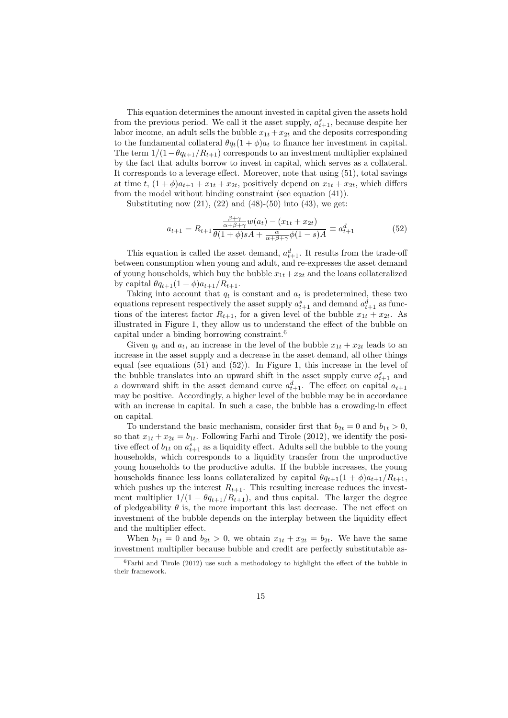This equation determines the amount invested in capital given the assets hold from the previous period. We call it the asset supply,  $a_{t+1}^s$ , because despite her labor income, an adult sells the bubble  $x_{1t} + x_{2t}$  and the deposits corresponding to the fundamental collateral  $\theta q_t(1+\phi)a_t$  to finance her investment in capital. The term  $1/(1-\theta q_{t+1}/R_{t+1})$  corresponds to an investment multiplier explained by the fact that adults borrow to invest in capital, which serves as a collateral. It corresponds to a leverage effect. Moreover, note that using (51), total savings at time t,  $(1+\phi)a_{t+1} + x_{1t} + x_{2t}$ , positively depend on  $x_{1t} + x_{2t}$ , which differs from the model without binding constraint (see equation (41)).

Substituting now  $(21)$ ,  $(22)$  and  $(48)$ - $(50)$  into  $(43)$ , we get:

$$
a_{t+1} = R_{t+1} \frac{\frac{\beta + \gamma}{\alpha + \beta + \gamma} w(a_t) - (x_{1t} + x_{2t})}{\theta (1 + \phi)sA + \frac{\alpha}{\alpha + \beta + \gamma} \phi(1 - s)A} \equiv a_{t+1}^d
$$
(52)

This equation is called the asset demand,  $a_{t+1}^d$ . It results from the trade-off between consumption when young and adult, and re-expresses the asset demand of young households, which buy the bubble  $x_{1t}+x_{2t}$  and the loans collateralized by capital  $\theta q_{t+1}(1+\phi)a_{t+1}/R_{t+1}$ .

Taking into account that  $q_t$  is constant and  $a_t$  is predetermined, these two equations represent respectively the asset supply  $a_{t+1}^s$  and demand  $a_{t+1}^d$  as functions of the interest factor  $R_{t+1}$ , for a given level of the bubble  $x_{1t} + x_{2t}$ . As illustrated in Figure 1, they allow us to understand the effect of the bubble on capital under a binding borrowing constraint.<sup>6</sup>

Given  $q_t$  and  $a_t$ , an increase in the level of the bubble  $x_{1t} + x_{2t}$  leads to an increase in the asset supply and a decrease in the asset demand, all other things equal (see equations (51) and (52)). In Figure 1, this increase in the level of the bubble translates into an upward shift in the asset supply curve  $a_{t+1}^s$  and a downward shift in the asset demand curve  $a_{t+1}^d$ . The effect on capital  $a_{t+1}$ may be positive. Accordingly, a higher level of the bubble may be in accordance with an increase in capital. In such a case, the bubble has a crowding-in effect on capital.

To understand the basic mechanism, consider first that  $b_{2t} = 0$  and  $b_{1t} > 0$ , so that  $x_{1t} + x_{2t} = b_{1t}$ . Following Farhi and Tirole (2012), we identify the positive effect of  $b_{1t}$  on  $a_{t+1}^s$  as a liquidity effect. Adults sell the bubble to the young households, which corresponds to a liquidity transfer from the unproductive young households to the productive adults. If the bubble increases, the young households finance less loans collateralized by capital  $\theta q_{t+1}(1+\phi)a_{t+1}/R_{t+1}$ , which pushes up the interest  $R_{t+1}$ . This resulting increase reduces the investment multiplier  $1/(1 - \theta q_{t+1}/R_{t+1})$ , and thus capital. The larger the degree of pledgeability  $\theta$  is, the more important this last decrease. The net effect on investment of the bubble depends on the interplay between the liquidity effect and the multiplier effect.

When  $b_{1t} = 0$  and  $b_{2t} > 0$ , we obtain  $x_{1t} + x_{2t} = b_{2t}$ . We have the same investment multiplier because bubble and credit are perfectly substitutable as-

 ${}^{6}$ Farhi and Tirole (2012) use such a methodology to highlight the effect of the bubble in their framework.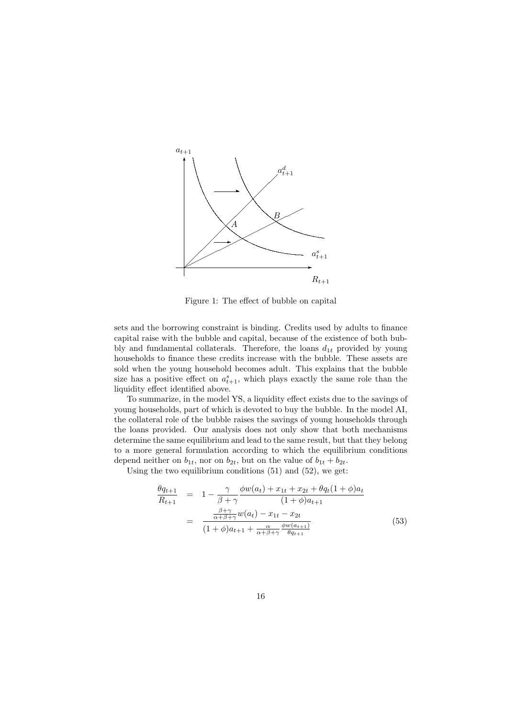

Figure 1: The effect of bubble on capital

sets and the borrowing constraint is binding. Credits used by adults to finance capital raise with the bubble and capital, because of the existence of both bubbly and fundamental collaterals. Therefore, the loans  $d_{1t}$  provided by young households to finance these credits increase with the bubble. These assets are sold when the young household becomes adult. This explains that the bubble size has a positive effect on  $a_{t+1}^s$ , which plays exactly the same role than the liquidity effect identified above.

To summarize, in the model YS, a liquidity effect exists due to the savings of young households, part of which is devoted to buy the bubble. In the model AI, the collateral role of the bubble raises the savings of young households through the loans provided. Our analysis does not only show that both mechanisms determine the same equilibrium and lead to the same result, but that they belong to a more general formulation according to which the equilibrium conditions depend neither on  $b_{1t}$ , nor on  $b_{2t}$ , but on the value of  $b_{1t} + b_{2t}$ .

Using the two equilibrium conditions (51) and (52), we get:

$$
\frac{\theta q_{t+1}}{R_{t+1}} = 1 - \frac{\gamma}{\beta + \gamma} \frac{\phi w(a_t) + x_{1t} + x_{2t} + \theta q_t (1 + \phi) a_t}{(1 + \phi) a_{t+1}} \n= \frac{\frac{\beta + \gamma}{\alpha + \beta + \gamma} w(a_t) - x_{1t} - x_{2t}}{(1 + \phi) a_{t+1} + \frac{\alpha}{\alpha + \beta + \gamma} \frac{\phi w(a_{t+1})}{\theta q_{t+1}}}
$$
\n(53)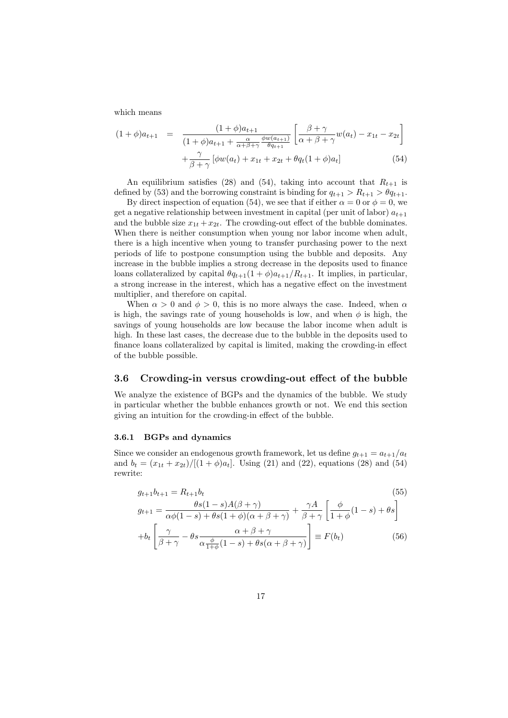which means

$$
(1+\phi)a_{t+1} = \frac{(1+\phi)a_{t+1}}{(1+\phi)a_{t+1} + \frac{\alpha}{\alpha+\beta+\gamma}\frac{\phi w(a_{t+1})}{\theta a_{t+1}}} \left[\frac{\beta+\gamma}{\alpha+\beta+\gamma}w(a_t) - x_{1t} - x_{2t}\right] + \frac{\gamma}{\beta+\gamma} \left[\phi w(a_t) + x_{1t} + x_{2t} + \theta q_t(1+\phi)a_t\right]
$$
(54)

An equilibrium satisfies (28) and (54), taking into account that  $R_{t+1}$  is defined by (53) and the borrowing constraint is binding for  $q_{t+1} > R_{t+1} > \theta q_{t+1}$ .

By direct inspection of equation (54), we see that if either  $\alpha = 0$  or  $\phi = 0$ , we get a negative relationship between investment in capital (per unit of labor)  $a_{t+1}$ and the bubble size  $x_{1t} + x_{2t}$ . The crowding-out effect of the bubble dominates. When there is neither consumption when young nor labor income when adult, there is a high incentive when young to transfer purchasing power to the next periods of life to postpone consumption using the bubble and deposits. Any increase in the bubble implies a strong decrease in the deposits used to finance loans collateralized by capital  $\theta q_{t+1}(1+\phi)a_{t+1}/R_{t+1}$ . It implies, in particular, a strong increase in the interest, which has a negative effect on the investment multiplier, and therefore on capital.

When  $\alpha > 0$  and  $\phi > 0$ , this is no more always the case. Indeed, when  $\alpha$ is high, the savings rate of young households is low, and when  $\phi$  is high, the savings of young households are low because the labor income when adult is high. In these last cases, the decrease due to the bubble in the deposits used to finance loans collateralized by capital is limited, making the crowding-in effect of the bubble possible.

### 3.6 Crowding-in versus crowding-out effect of the bubble

We analyze the existence of BGPs and the dynamics of the bubble. We study in particular whether the bubble enhances growth or not. We end this section giving an intuition for the crowding-in effect of the bubble.

#### 3.6.1 BGPs and dynamics

Since we consider an endogenous growth framework, let us define  $q_{t+1} = a_{t+1}/a_t$ and  $b_t = (x_{1t} + x_{2t})/[(1 + \phi)a_t]$ . Using (21) and (22), equations (28) and (54) rewrite:

$$
g_{t+1}b_{t+1} = R_{t+1}b_t
$$
\n
$$
g_{t+1} = \frac{\theta s(1-s)A(\beta + \gamma)}{\alpha\phi(1-s) + \theta s(1+\phi)(\alpha+\beta+\gamma)} + \frac{\gamma A}{\beta+\gamma} \left[\frac{\phi}{1+\phi}(1-s) + \theta s\right]
$$
\n
$$
+b_t \left[\frac{\gamma}{\beta+\gamma} - \theta s \frac{\alpha+\beta+\gamma}{\alpha \frac{\phi}{1+\phi}(1-s) + \theta s(\alpha+\beta+\gamma)}\right] \equiv F(b_t)
$$
\n(56)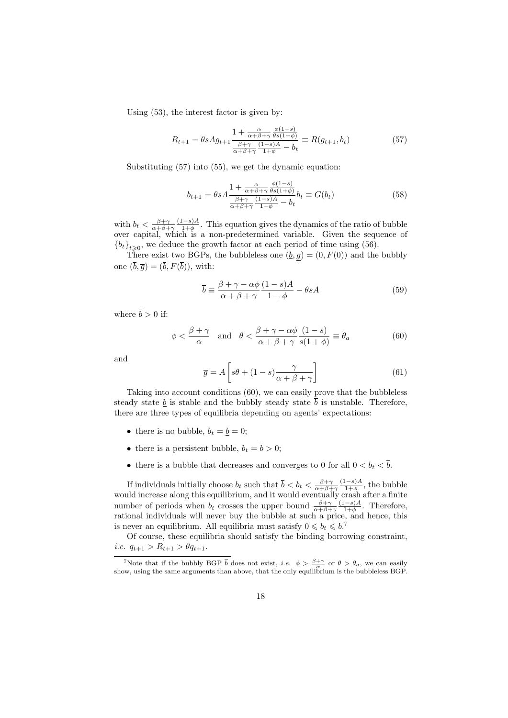Using (53), the interest factor is given by:

$$
R_{t+1} = \theta s A g_{t+1} \frac{1 + \frac{\alpha}{\alpha + \beta + \gamma} \frac{\phi(1-s)}{\theta s(1+\phi)}}{\frac{\beta + \gamma}{\alpha + \beta + \gamma} \frac{(1-s)A}{1+\phi} - b_t} \equiv R(g_{t+1}, b_t)
$$
(57)

Substituting (57) into (55), we get the dynamic equation:

$$
b_{t+1} = \theta s A \frac{1 + \frac{\alpha}{\alpha + \beta + \gamma} \frac{\phi(1-s)}{\theta s(1+\phi)}}{\frac{\beta + \gamma}{\alpha + \beta + \gamma} \frac{(1-s)A}{1+\phi} - b_t} b_t \equiv G(b_t)
$$
(58)

with  $b_t < \frac{\beta + \gamma}{\alpha + \beta + \gamma}$  $(1-s)A$  $\frac{1-s}{1+\phi}$ . This equation gives the dynamics of the ratio of bubble over capital, which is a non-predetermined variable. Given the sequence of  ${b_t}_{t\geqslant0}$ , we deduce the growth factor at each period of time using (56).

There exist two BGPs, the bubbleless one  $(\underline{b}, g) = (0, F(0))$  and the bubbly one  $(\overline{b}, \overline{a}) = (\overline{b}, F(\overline{b}))$ , with:

$$
\overline{b} \equiv \frac{\beta + \gamma - \alpha \phi}{\alpha + \beta + \gamma} \frac{(1 - s)A}{1 + \phi} - \theta sA
$$
 (59)

where  $\bar{b} > 0$  if:

$$
\phi < \frac{\beta + \gamma}{\alpha} \quad \text{and} \quad \theta < \frac{\beta + \gamma - \alpha \phi}{\alpha + \beta + \gamma} \frac{(1 - s)}{s(1 + \phi)} \equiv \theta_a \tag{60}
$$

and

$$
\overline{g} = A \left[ s\theta + (1 - s) \frac{\gamma}{\alpha + \beta + \gamma} \right] \tag{61}
$$

Taking into account conditions (60), we can easily prove that the bubbleless steady state  $\underline{b}$  is stable and the bubbly steady state  $\overline{b}$  is unstable. Therefore, there are three types of equilibria depending on agents' expectations:

- there is no bubble,  $b_t = \underline{b} = 0$ ;
- there is a persistent bubble,  $b_t = \overline{b} > 0$ ;
- there is a bubble that decreases and converges to 0 for all  $0 < b_t < \overline{b}$ .

If individuals initially choose  $b_t$  such that  $\bar{b} < b_t < \frac{\beta + \gamma}{\alpha + \beta + \gamma}$  $(1-s)A$  $\frac{1-s}{1+\phi}$ , the bubble would increase along this equilibrium, and it would eventually crash after a finite number of periods when  $b_t$  crosses the upper bound  $\frac{\beta+\gamma}{\alpha+\beta+\gamma}$  $(1-s)A$  $\frac{1-s}{1+\phi}$ . Therefore, rational individuals will never buy the bubble at such a price, and hence, this is never an equilibrium. All equilibria must satisfy  $0 \leq b_t \leq \overline{b}$ .<sup>7</sup>

Of course, these equilibria should satisfy the binding borrowing constraint, i.e.  $q_{t+1} > R_{t+1} > \theta q_{t+1}$ .

<sup>&</sup>lt;sup>7</sup>Note that if the bubbly BGP  $\bar{b}$  does not exist, *i.e.*  $\phi > \frac{\beta + \gamma}{\alpha}$  or  $\theta > \theta_a$ , we can easily show, using the same arguments than above, that the only equilibrium is the bubbleless BGP.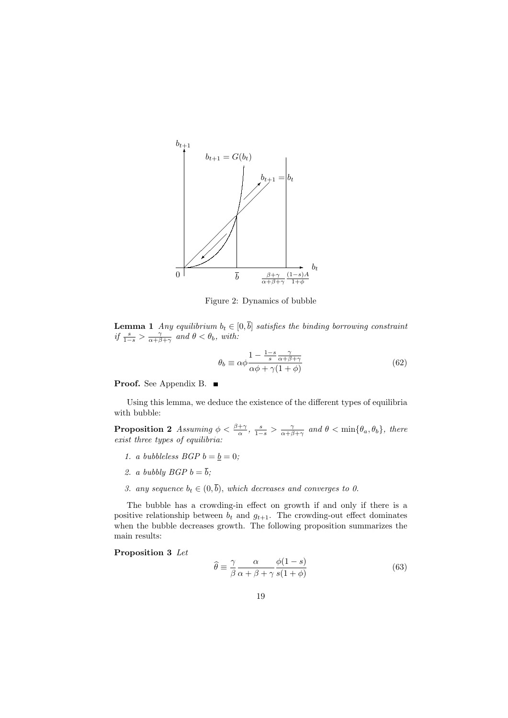

Figure 2: Dynamics of bubble

**Lemma 1** Any equilibrium  $b_t \in [0, \overline{b}]$  satisfies the binding borrowing constraint if  $\frac{s}{1-s} > \frac{\gamma}{\alpha+\beta+\gamma}$  and  $\theta < \theta_b$ , with:

$$
\theta_b \equiv \alpha \phi \frac{1 - \frac{1 - s}{s} \frac{\gamma}{\alpha + \beta + \gamma}}{\alpha \phi + \gamma (1 + \phi)}
$$
(62)

Proof. See Appendix B. ■

Using this lemma, we deduce the existence of the different types of equilibria with bubble:

**Proposition 2** Assuming  $\phi < \frac{\beta + \gamma}{\alpha}$ ,  $\frac{s}{1-s} > \frac{\gamma}{\alpha + \beta + \gamma}$  and  $\theta < \min{\{\theta_a, \theta_b\}}$ , there exist three types of equilibria:

- 1. a bubbleless  $BGP b = b = 0;$
- 2. a bubbly  $BGP b = \overline{b}$ ;
- 3. any sequence  $b_t \in (0, \overline{b})$ , which decreases and converges to 0.

The bubble has a crowding-in effect on growth if and only if there is a positive relationship between  $b_t$  and  $g_{t+1}$ . The crowding-out effect dominates when the bubble decreases growth. The following proposition summarizes the main results:

Proposition 3 Let

$$
\hat{\theta} \equiv \frac{\gamma}{\beta} \frac{\alpha}{\alpha + \beta + \gamma} \frac{\phi(1 - s)}{s(1 + \phi)}\tag{63}
$$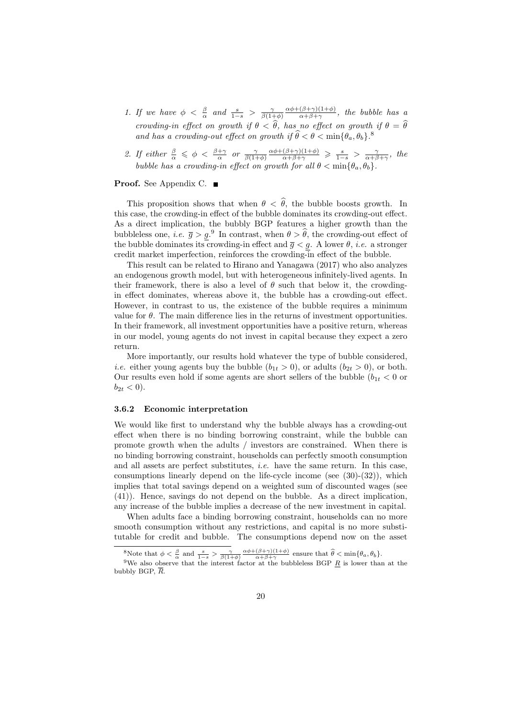- 1. If we have  $\phi \leq \frac{\beta}{\alpha}$  and  $\frac{s}{1-s} > \frac{\gamma}{\beta(1+\phi)}$  $\alpha\phi+(\beta+\gamma)(1+\phi)$  $\frac{(\beta+\gamma)(1+\varphi)}{\alpha+\beta+\gamma}$ , the bubble has a crowding-in effect on growth if  $\theta < \hat{\theta}$ , has no effect on growth if  $\theta = \hat{\theta}$ and has a crowding-out effect on growth if  $\hat{\theta} < \theta < \min\{\theta_a, \theta_b\}$ .
- 2. If either  $\frac{\beta}{\alpha} \leq \phi < \frac{\beta+\gamma}{\alpha}$  or  $\frac{\gamma}{\beta(1+\phi)}$  $\frac{\alpha\phi+(\beta+\gamma)(1+\phi)}{\alpha+\beta+\gamma} \geqslant \frac{s}{1-s} > \frac{\gamma}{\alpha+\beta+\gamma}, \text{ the }$ bubble has a crowding-in effect on growth for all  $\theta < \min{\lbrace \theta_a, \theta_b \rbrace}$ .

#### **Proof.** See Appendix C. ■

This proposition shows that when  $\theta < \hat{\theta}$ , the bubble boosts growth. In this case, the crowding-in effect of the bubble dominates its crowding-out effect. As a direct implication, the bubbly BGP features a higher growth than the bubbleless one, *i.e.*  $\overline{g} > \underline{g}$ .<sup>9</sup> In contrast, when  $\theta > \theta$ , the crowding-out effect of the bubble dominates its crowding-in effect and  $\bar{g} < g$ . A lower  $\theta$ , *i.e.* a stronger credit market imperfection, reinforces the crowding-in effect of the bubble.

This result can be related to Hirano and Yanagawa (2017) who also analyzes an endogenous growth model, but with heterogeneous infinitely-lived agents. In their framework, there is also a level of  $\theta$  such that below it, the crowdingin effect dominates, whereas above it, the bubble has a crowding-out effect. However, in contrast to us, the existence of the bubble requires a minimum value for  $\theta$ . The main difference lies in the returns of investment opportunities. In their framework, all investment opportunities have a positive return, whereas in our model, young agents do not invest in capital because they expect a zero return.

More importantly, our results hold whatever the type of bubble considered, *i.e.* either young agents buy the bubble  $(b_{1t} > 0)$ , or adults  $(b_{2t} > 0)$ , or both. Our results even hold if some agents are short sellers of the bubble  $(b_{1t} < 0$  or  $b_{2t} < 0$ ).

#### 3.6.2 Economic interpretation

We would like first to understand why the bubble always has a crowding-out effect when there is no binding borrowing constraint, while the bubble can promote growth when the adults / investors are constrained. When there is no binding borrowing constraint, households can perfectly smooth consumption and all assets are perfect substitutes, i.e. have the same return. In this case, consumptions linearly depend on the life-cycle income (see  $(30)-(32)$ ), which implies that total savings depend on a weighted sum of discounted wages (see (41)). Hence, savings do not depend on the bubble. As a direct implication, any increase of the bubble implies a decrease of the new investment in capital.

When adults face a binding borrowing constraint, households can no more smooth consumption without any restrictions, and capital is no more substitutable for credit and bubble. The consumptions depend now on the asset

<sup>&</sup>lt;sup>8</sup>Note that  $\phi < \frac{\beta}{\alpha}$  and  $\frac{s}{1-s} > \frac{\gamma}{\beta(1+\phi)} \frac{\alpha \phi + (\beta+\gamma)(1+\phi)}{\alpha+\beta+\gamma}$  ensure that  $\hat{\theta} < \min{\{\theta_a, \theta_b\}}$ .<br><sup>9</sup>We also observe that the interest factor at the bubbleless BGP <u>R</u> is lower than at the bubbly BGP,  $\overline{R}$ .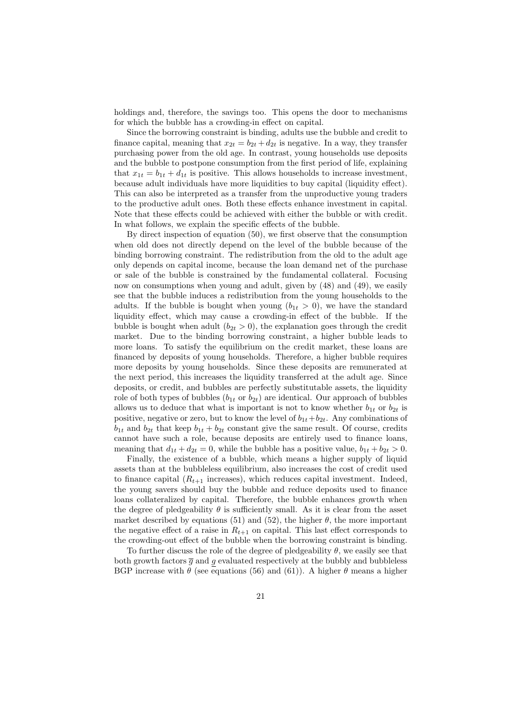holdings and, therefore, the savings too. This opens the door to mechanisms for which the bubble has a crowding-in effect on capital.

Since the borrowing constraint is binding, adults use the bubble and credit to finance capital, meaning that  $x_{2t} = b_{2t} + d_{2t}$  is negative. In a way, they transfer purchasing power from the old age. In contrast, young households use deposits and the bubble to postpone consumption from the first period of life, explaining that  $x_{1t} = b_{1t} + d_{1t}$  is positive. This allows households to increase investment, because adult individuals have more liquidities to buy capital (liquidity effect). This can also be interpreted as a transfer from the unproductive young traders to the productive adult ones. Both these effects enhance investment in capital. Note that these effects could be achieved with either the bubble or with credit. In what follows, we explain the specific effects of the bubble.

By direct inspection of equation (50), we first observe that the consumption when old does not directly depend on the level of the bubble because of the binding borrowing constraint. The redistribution from the old to the adult age only depends on capital income, because the loan demand net of the purchase or sale of the bubble is constrained by the fundamental collateral. Focusing now on consumptions when young and adult, given by (48) and (49), we easily see that the bubble induces a redistribution from the young households to the adults. If the bubble is bought when young  $(b_{1t} > 0)$ , we have the standard liquidity effect, which may cause a crowding-in effect of the bubble. If the bubble is bought when adult  $(b_{2t} > 0)$ , the explanation goes through the credit market. Due to the binding borrowing constraint, a higher bubble leads to more loans. To satisfy the equilibrium on the credit market, these loans are financed by deposits of young households. Therefore, a higher bubble requires more deposits by young households. Since these deposits are remunerated at the next period, this increases the liquidity transferred at the adult age. Since deposits, or credit, and bubbles are perfectly substitutable assets, the liquidity role of both types of bubbles  $(b_{1t}$  or  $b_{2t})$  are identical. Our approach of bubbles allows us to deduce that what is important is not to know whether  $b_{1t}$  or  $b_{2t}$  is positive, negative or zero, but to know the level of  $b_{1t}+b_{2t}$ . Any combinations of  $b_{1t}$  and  $b_{2t}$  that keep  $b_{1t} + b_{2t}$  constant give the same result. Of course, credits cannot have such a role, because deposits are entirely used to finance loans, meaning that  $d_{1t} + d_{2t} = 0$ , while the bubble has a positive value,  $b_{1t} + b_{2t} > 0$ .

Finally, the existence of a bubble, which means a higher supply of liquid assets than at the bubbleless equilibrium, also increases the cost of credit used to finance capital  $(R_{t+1}$  increases), which reduces capital investment. Indeed, the young savers should buy the bubble and reduce deposits used to finance loans collateralized by capital. Therefore, the bubble enhances growth when the degree of pledgeability  $\theta$  is sufficiently small. As it is clear from the asset market described by equations (51) and (52), the higher  $\theta$ , the more important the negative effect of a raise in  $R_{t+1}$  on capital. This last effect corresponds to the crowding-out effect of the bubble when the borrowing constraint is binding.

To further discuss the role of the degree of pledgeability  $\theta$ , we easily see that both growth factors  $\overline{g}$  and g evaluated respectively at the bubbly and bubbleless BGP increase with  $\theta$  (see equations (56) and (61)). A higher  $\theta$  means a higher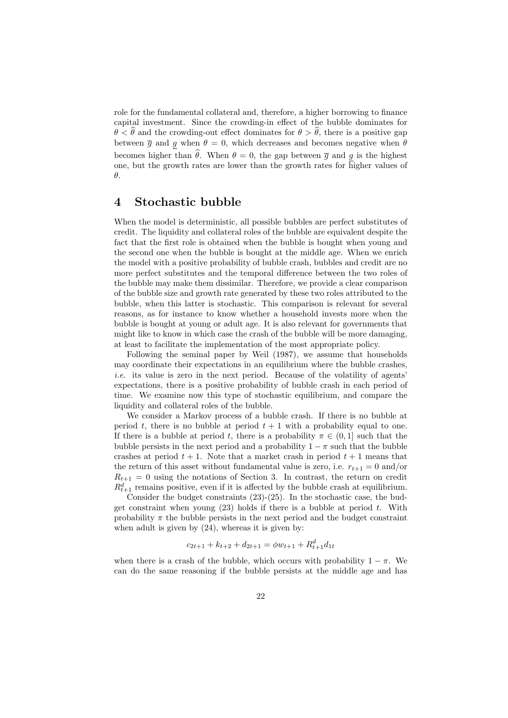role for the fundamental collateral and, therefore, a higher borrowing to finance capital investment. Since the crowding-in effect of the bubble dominates for  $\theta < \theta$  and the crowding-out effect dominates for  $\theta > \theta$ , there is a positive gap between  $\bar{g}$  and g when  $\theta = 0$ , which decreases and becomes negative when  $\theta$ becomes higher than  $\hat{\theta}$ . When  $\theta = 0$ , the gap between  $\bar{\theta}$  and g is the highest one, but the growth rates are lower than the growth rates for higher values of θ.

### 4 Stochastic bubble

When the model is deterministic, all possible bubbles are perfect substitutes of credit. The liquidity and collateral roles of the bubble are equivalent despite the fact that the first role is obtained when the bubble is bought when young and the second one when the bubble is bought at the middle age. When we enrich the model with a positive probability of bubble crash, bubbles and credit are no more perfect substitutes and the temporal difference between the two roles of the bubble may make them dissimilar. Therefore, we provide a clear comparison of the bubble size and growth rate generated by these two roles attributed to the bubble, when this latter is stochastic. This comparison is relevant for several reasons, as for instance to know whether a household invests more when the bubble is bought at young or adult age. It is also relevant for governments that might like to know in which case the crash of the bubble will be more damaging, at least to facilitate the implementation of the most appropriate policy.

Following the seminal paper by Weil (1987), we assume that households may coordinate their expectations in an equilibrium where the bubble crashes, i.e. its value is zero in the next period. Because of the volatility of agents' expectations, there is a positive probability of bubble crash in each period of time. We examine now this type of stochastic equilibrium, and compare the liquidity and collateral roles of the bubble.

We consider a Markov process of a bubble crash. If there is no bubble at period t, there is no bubble at period  $t + 1$  with a probability equal to one. If there is a bubble at period t, there is a probability  $\pi \in (0,1]$  such that the bubble persists in the next period and a probability  $1 - \pi$  such that the bubble crashes at period  $t + 1$ . Note that a market crash in period  $t + 1$  means that the return of this asset without fundamental value is zero, i.e.  $r_{t+1} = 0$  and/or  $R_{t+1} = 0$  using the notations of Section 3. In contrast, the return on credit  $R_{t+1}^d$  remains positive, even if it is affected by the bubble crash at equilibrium.

Consider the budget constraints (23)-(25). In the stochastic case, the budget constraint when young  $(23)$  holds if there is a bubble at period t. With probability  $\pi$  the bubble persists in the next period and the budget constraint when adult is given by  $(24)$ , whereas it is given by:

$$
c_{2t+1} + k_{t+2} + d_{2t+1} = \phi w_{t+1} + R_{t+1}^d d_{1t}
$$

when there is a crash of the bubble, which occurs with probability  $1 - \pi$ . We can do the same reasoning if the bubble persists at the middle age and has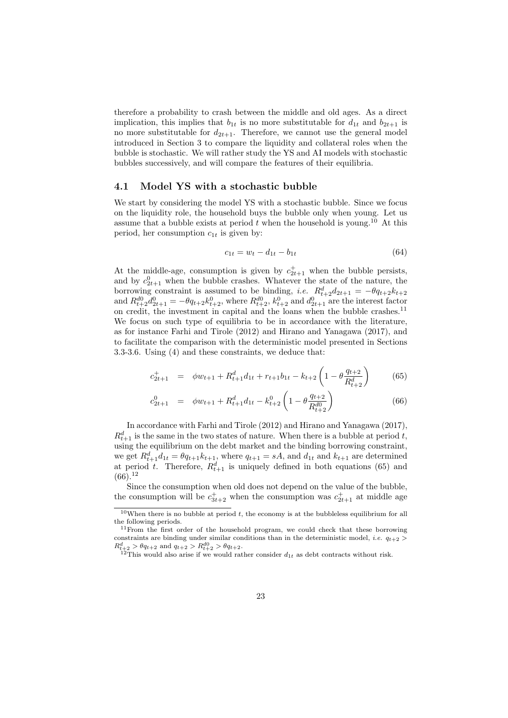therefore a probability to crash between the middle and old ages. As a direct implication, this implies that  $b_{1t}$  is no more substitutable for  $d_{1t}$  and  $b_{2t+1}$  is no more substitutable for  $d_{2t+1}$ . Therefore, we cannot use the general model introduced in Section 3 to compare the liquidity and collateral roles when the bubble is stochastic. We will rather study the YS and AI models with stochastic bubbles successively, and will compare the features of their equilibria.

#### 4.1 Model YS with a stochastic bubble

We start by considering the model YS with a stochastic bubble. Since we focus on the liquidity role, the household buys the bubble only when young. Let us assume that a bubble exists at period  $t$  when the household is young.<sup>10</sup> At this period, her consumption  $c_{1t}$  is given by:

$$
c_{1t} = w_t - d_{1t} - b_{1t} \tag{64}
$$

At the middle-age, consumption is given by  $c_{2t+1}^+$  when the bubble persists, and by  $c_{2t+1}^0$  when the bubble crashes. Whatever the state of the nature, the borrowing constraint is assumed to be binding, *i.e.*  $R_{t+2}^d d_{2t+1} = -\theta q_{t+2} k_{t+2}$ and  $R_{t+2}^{d0}d_{2t+1}^0 = -\theta q_{t+2}k_{t+2}^0$ , where  $R_{t+2}^{d0}$ ,  $k_{t+2}^0$  and  $d_{2t+1}^0$  are the interest factor on credit, the investment in capital and the loans when the bubble crashes.<sup>11</sup> We focus on such type of equilibria to be in accordance with the literature, as for instance Farhi and Tirole (2012) and Hirano and Yanagawa (2017), and to facilitate the comparison with the deterministic model presented in Sections 3.3-3.6. Using (4) and these constraints, we deduce that:

$$
c_{2t+1}^{+} = \phi w_{t+1} + R_{t+1}^{d} d_{1t} + r_{t+1} b_{1t} - k_{t+2} \left( 1 - \theta \frac{q_{t+2}}{R_{t+2}^{d}} \right)
$$
(65)

$$
c_{2t+1}^0 = \phi w_{t+1} + R_{t+1}^d d_{1t} - k_{t+2}^0 \left( 1 - \theta \frac{q_{t+2}}{R_{t+2}^{d0}} \right)
$$
(66)

In accordance with Farhi and Tirole (2012) and Hirano and Yanagawa (2017),  $R_{t+1}^d$  is the same in the two states of nature. When there is a bubble at period t, using the equilibrium on the debt market and the binding borrowing constraint, we get  $R_{t+1}^d d_{1t} = \theta q_{t+1} k_{t+1}$ , where  $q_{t+1} = sA$ , and  $d_{1t}$  and  $k_{t+1}$  are determined at period t. Therefore,  $R_{t+1}^d$  is uniquely defined in both equations (65) and  $(66).^{12}$ 

Since the consumption when old does not depend on the value of the bubble, the consumption will be  $c_{3t+2}^+$  when the consumption was  $c_{2t+1}^+$  at middle age

 $10$ When there is no bubble at period t, the economy is at the bubbleless equilibrium for all the following periods.

<sup>11</sup>From the first order of the household program, we could check that these borrowing constraints are binding under similar conditions than in the deterministic model, *i.e.*  $q_{t+2}$  $R_{t+2}^d > \theta q_{t+2}$  and  $q_{t+2} > R_{t+2}^{d0} > \theta q_{t+2}$ .

 $12$ This would also arise if we would rather consider  $d_{1t}$  as debt contracts without risk.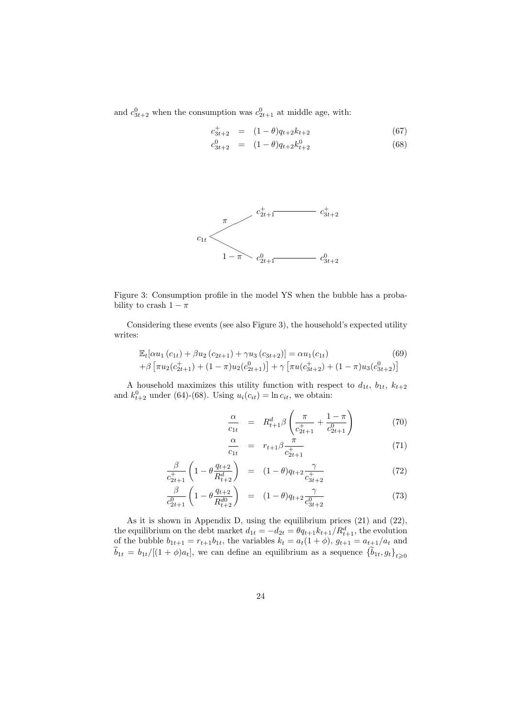and  $c_{3t+2}^0$  when the consumption was  $c_{2t+1}^0$  at middle age, with:

$$
c_{3t+2}^{+} = (1 - \theta)q_{t+2}k_{t+2}
$$
\n(67)

$$
c_{3t+2}^0 = (1 - \theta)q_{t+2}k_{t+2}^0 \tag{68}
$$



Figure 3: Consumption profile in the model YS when the bubble has a probability to crash  $1 - \pi$ 

Considering these events (see also Figure 3), the household's expected utility writes:

$$
\mathbb{E}_{t}[\alpha u_{1}(c_{1t}) + \beta u_{2}(c_{2t+1}) + \gamma u_{3}(c_{3t+2})] = \alpha u_{1}(c_{1t})
$$
\n
$$
+ \beta \left[ \pi u_{2}(c_{2t+1}^{+}) + (1 - \pi)u_{2}(c_{2t+1}^{0}) \right] + \gamma \left[ \pi u(c_{3t+2}^{+}) + (1 - \pi)u_{3}(c_{3t+2}^{0}) \right]
$$
\n(69)

A household maximizes this utility function with respect to  $d_{1t}$ ,  $b_{1t}$ ,  $k_{t+2}$ and  $k_{t+2}^0$  under (64)-(68). Using  $u_i(c_{it}) = \ln c_{it}$ , we obtain:

$$
\frac{\alpha}{c_{1t}} = R_{t+1}^d \beta \left( \frac{\pi}{c_{2t+1}^+} + \frac{1-\pi}{c_{2t+1}^0} \right) \tag{70}
$$

$$
\frac{\alpha}{c_{1t}} = r_{t+1} \beta \frac{\pi}{c_{2t+1}^+}
$$
\n(71)

$$
\frac{\beta}{c_{2t+1}^+} \left( 1 - \theta \frac{q_{t+2}}{R_{t+2}^d} \right) = (1 - \theta) q_{t+2} \frac{\gamma}{c_{3t+2}^+}
$$
\n(72)

$$
\frac{\beta}{c_{2t+1}^0} \left( 1 - \theta \frac{q_{t+2}}{R_{t+2}^{d0}} \right) = (1 - \theta) q_{t+2} \frac{\gamma}{c_{3t+2}^0} \tag{73}
$$

As it is shown in Appendix D, using the equilibrium prices (21) and (22), the equilibrium on the debt market  $d_{1t} = -d_{2t} = \theta q_{t+1} k_{t+1} / R_{t+1}^d$ , the evolution of the bubble  $b_{1t+1} = r_{t+1}b_{1t}$ , the variables  $k_t = a_t(1 + \phi)$ ,  $g_{t+1} = a_{t+1}/a_t$  and  $\widetilde{b}_{1t} = b_{1t}/[(1+\phi)a_t]$ , we can define an equilibrium as a sequence  $\{\widetilde{b}_{1t}, g_t\}_{t\geqslant 0}$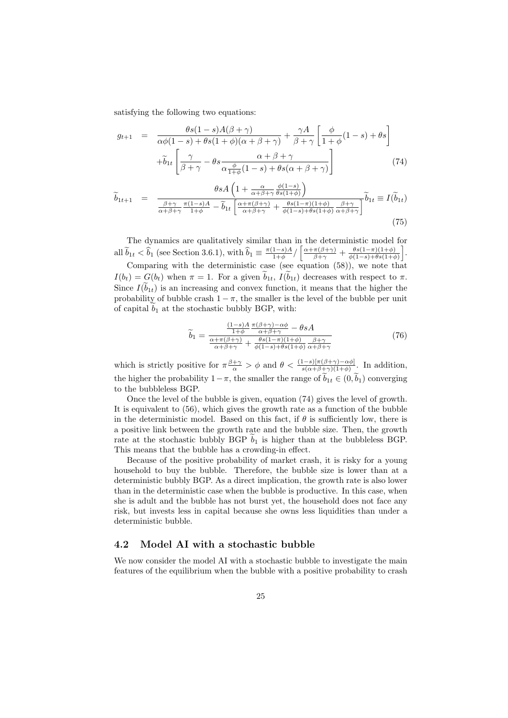satisfying the following two equations:

$$
g_{t+1} = \frac{\theta s (1 - s) A(\beta + \gamma)}{\alpha \phi (1 - s) + \theta s (1 + \phi)(\alpha + \beta + \gamma)} + \frac{\gamma A}{\beta + \gamma} \left[ \frac{\phi}{1 + \phi} (1 - s) + \theta s \right]
$$

$$
+ \tilde{b}_{1t} \left[ \frac{\gamma}{\beta + \gamma} - \theta s \frac{\alpha + \beta + \gamma}{\alpha \frac{\phi}{1 + \phi} (1 - s) + \theta s (\alpha + \beta + \gamma)} \right] \tag{74}
$$

$$
\widetilde{b}_{1t+1} = \frac{\theta s A \left(1 + \frac{\alpha}{\alpha + \beta + \gamma} \frac{\phi(1-s)}{\theta s(1+\phi)}\right)}{\frac{\beta + \gamma}{\alpha + \beta + \gamma} \frac{\pi (1-s) A}{1+\phi} - \widetilde{b}_{1t} \left[\frac{\alpha + \pi (\beta + \gamma)}{\alpha + \beta + \gamma} + \frac{\theta s(1-\pi)(1+\phi)}{\phi(1-s) + \theta s(1+\phi)} \frac{\beta + \gamma}{\alpha + \beta + \gamma}\right]} \widetilde{b}_{1t} \equiv I(\widetilde{b}_{1t})
$$
\n(75)

The dynamics are qualitatively similar than in the deterministic model for all  $\tilde{b}_{1t} < \hat{b}_1$  (see Section 3.6.1), with  $\hat{b}_1 \equiv \frac{\pi(1-s)A}{1+\phi}$  $\frac{1-s}{1+\phi}$ / $\left[\frac{\alpha+\pi(\beta+\gamma)}{\beta+\gamma}+\frac{\theta s(1-\pi)(1+\phi)}{\phi(1-s)+\theta s(1+\phi)}\right]$  $\frac{\theta s(1-\pi)(1+\phi)}{\phi(1-s)+\theta s(1+\phi)}$ .

Comparing with the deterministic case (see equation  $(58)$ ), we note that  $I(b_t) = G(b_t)$  when  $\pi = 1$ . For a given  $\widetilde{b}_{1t}$ ,  $I(\widetilde{b}_{1t})$  decreases with respect to  $\pi$ . Since  $I(\tilde{b}_{1t})$  is an increasing and convex function, it means that the higher the probability of bubble crash  $1 - \pi$ , the smaller is the level of the bubble per unit of capital  $b_1$  at the stochastic bubbly BGP, with:

$$
\widetilde{b}_1 = \frac{\frac{(1-s)A}{1+\phi} \frac{\pi(\beta+\gamma)-\alpha\phi}{\alpha+\beta+\gamma} - \theta sA}{\frac{\alpha+\pi(\beta+\gamma)}{\alpha+\beta+\gamma} + \frac{\theta s(1-\pi)(1+\phi)}{\phi(1-s)+\theta s(1+\phi)} \frac{\beta+\gamma}{\alpha+\beta+\gamma}}
$$
(76)

which is strictly positive for  $\pi \frac{\beta+\gamma}{\alpha} > \phi$  and  $\theta < \frac{(1-s)[\pi(\beta+\gamma)-\alpha\phi]}{s(\alpha+\beta+\gamma)(1+\phi)}$ . In addition, the higher the probability  $1-\pi$ , the smaller the range of  $\tilde{b}_{1t} \in (0,\tilde{b}_1)$  converging to the bubbleless BGP.

Once the level of the bubble is given, equation (74) gives the level of growth. It is equivalent to (56), which gives the growth rate as a function of the bubble in the deterministic model. Based on this fact, if  $\theta$  is sufficiently low, there is a positive link between the growth rate and the bubble size. Then, the growth rate at the stochastic bubbly BGP  $b_1$  is higher than at the bubbleless BGP. This means that the bubble has a crowding-in effect.

Because of the positive probability of market crash, it is risky for a young household to buy the bubble. Therefore, the bubble size is lower than at a deterministic bubbly BGP. As a direct implication, the growth rate is also lower than in the deterministic case when the bubble is productive. In this case, when she is adult and the bubble has not burst yet, the household does not face any risk, but invests less in capital because she owns less liquidities than under a deterministic bubble.

#### 4.2 Model AI with a stochastic bubble

We now consider the model AI with a stochastic bubble to investigate the main features of the equilibrium when the bubble with a positive probability to crash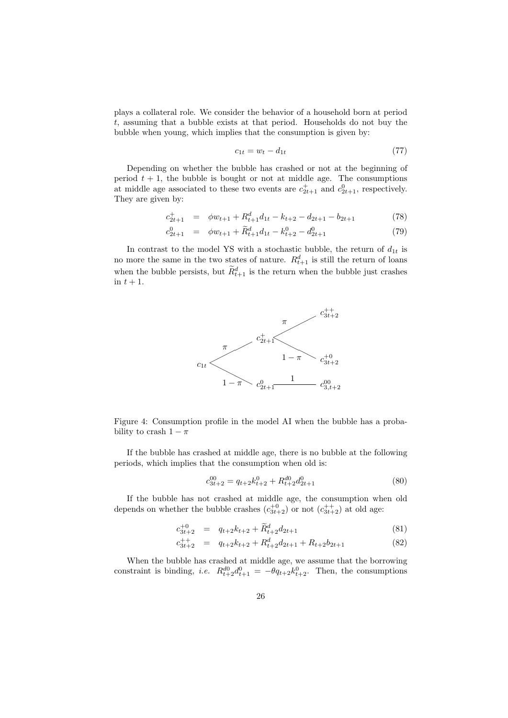plays a collateral role. We consider the behavior of a household born at period t, assuming that a bubble exists at that period. Households do not buy the bubble when young, which implies that the consumption is given by:

$$
c_{1t} = w_t - d_{1t} \tag{77}
$$

Depending on whether the bubble has crashed or not at the beginning of period  $t + 1$ , the bubble is bought or not at middle age. The consumptions at middle age associated to these two events are  $c_{2t+1}^+$  and  $c_{2t+1}^0$ , respectively. They are given by:

$$
c_{2t+1}^{+} = \phi w_{t+1} + R_{t+1}^{d} d_{1t} - k_{t+2} - d_{2t+1} - b_{2t+1}
$$
 (78)

$$
c_{2t+1}^0 = \phi w_{t+1} + \widetilde{R}_{t+1}^d d_{1t} - k_{t+2}^0 - d_{2t+1}^0 \tag{79}
$$

In contrast to the model YS with a stochastic bubble, the return of  $d_{1t}$  is no more the same in the two states of nature.  $R_{t+1}^d$  is still the return of loans when the bubble persists, but  $\tilde{R}_{t+1}^d$  is the return when the bubble just crashes in  $t + 1$ .



Figure 4: Consumption profile in the model AI when the bubble has a probability to crash  $1 - \pi$ 

If the bubble has crashed at middle age, there is no bubble at the following periods, which implies that the consumption when old is:

$$
c_{3t+2}^{00} = q_{t+2}k_{t+2}^0 + R_{t+2}^{d0}d_{2t+1}^0
$$
\n(80)

If the bubble has not crashed at middle age, the consumption when old depends on whether the bubble crashes  $(c_{3t+2}^{+0})$  or not  $(c_{3t+2}^{++})$  at old age:

$$
c_{3t+2}^{+0} = q_{t+2}k_{t+2} + \widetilde{R}_{t+2}^d d_{2t+1}
$$
\n(81)

$$
c_{3t+2}^{++} = q_{t+2}k_{t+2} + R_{t+2}^d d_{2t+1} + R_{t+2}b_{2t+1}
$$
 (82)

When the bubble has crashed at middle age, we assume that the borrowing constraint is binding, *i.e.*  $R_{t+2}^{d0} d_{t+1}^0 = -\theta q_{t+2} k_{t+2}^0$ . Then, the consumptions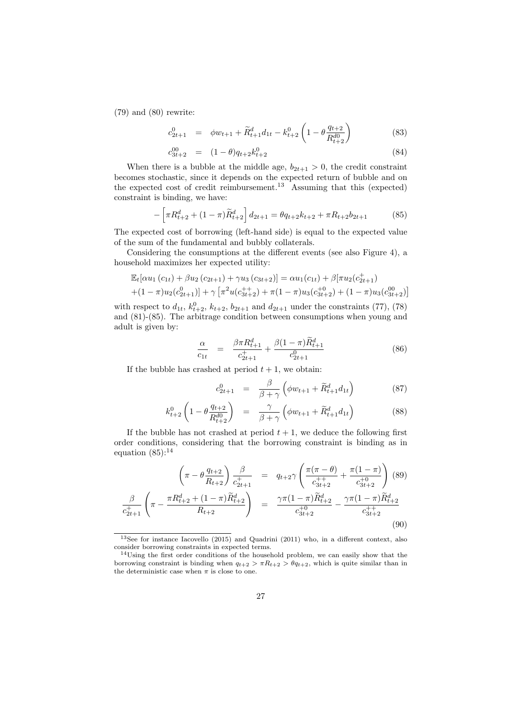(79) and (80) rewrite:

$$
c_{2t+1}^0 = \phi w_{t+1} + \widetilde{R}_{t+1}^d d_{1t} - k_{t+2}^0 \left( 1 - \theta \frac{q_{t+2}}{R_{t+2}^{d0}} \right)
$$
(83)

$$
c_{3t+2}^{00} = (1 - \theta)q_{t+2}k_{t+2}^0
$$
\n(84)

When there is a bubble at the middle age,  $b_{2t+1} > 0$ , the credit constraint becomes stochastic, since it depends on the expected return of bubble and on the expected cost of credit reimbursement.<sup>13</sup> Assuming that this (expected) constraint is binding, we have:

$$
-\left[\pi R_{t+2}^d + (1-\pi)\widetilde{R}_{t+2}^d\right]d_{2t+1} = \theta q_{t+2}k_{t+2} + \pi R_{t+2}b_{2t+1}
$$
(85)

The expected cost of borrowing (left-hand side) is equal to the expected value of the sum of the fundamental and bubbly collaterals.

Considering the consumptions at the different events (see also Figure 4), a household maximizes her expected utility:

$$
\mathbb{E}_{t}[\alpha u_{1}(c_{1t}) + \beta u_{2}(c_{2t+1}) + \gamma u_{3}(c_{3t+2})] = \alpha u_{1}(c_{1t}) + \beta[\pi u_{2}(c_{2t+1}) + (1-\pi)u_{2}(c_{2t+1})] + \gamma [\pi^{2}u(c_{3t+2}^{++}) + \pi(1-\pi)u_{3}(c_{3t+2}^{+0}) + (1-\pi)u_{3}(c_{3t+2}^{00})]
$$

with respect to  $d_{1t}$ ,  $k_{t+2}^0$ ,  $k_{t+2}$ ,  $b_{2t+1}$  and  $d_{2t+1}$  under the constraints (77), (78) and (81)-(85). The arbitrage condition between consumptions when young and adult is given by:

$$
\frac{\alpha}{c_{1t}} = \frac{\beta \pi R_{t+1}^d}{c_{2t+1}^+} + \frac{\beta (1 - \pi) \widetilde{R}_{t+1}^d}{c_{2t+1}^0} \tag{86}
$$

If the bubble has crashed at period  $t + 1$ , we obtain:

$$
c_{2t+1}^{0} = \frac{\beta}{\beta + \gamma} \left( \phi w_{t+1} + \widetilde{R}_{t+1}^{d} d_{1t} \right)
$$
 (87)

$$
k_{t+2}^{0} \left( 1 - \theta \frac{q_{t+2}}{R_{t+2}^{d0}} \right) = \frac{\gamma}{\beta + \gamma} \left( \phi w_{t+1} + \widetilde{R}_{t+1}^{d} d_{1t} \right)
$$
(88)

If the bubble has not crashed at period  $t + 1$ , we deduce the following first order conditions, considering that the borrowing constraint is binding as in equation  $(85)$ :<sup>14</sup>

$$
\left(\pi - \theta \frac{q_{t+2}}{R_{t+2}}\right) \frac{\beta}{c_{2t+1}^+} = q_{t+2} \gamma \left(\frac{\pi(\pi - \theta)}{c_{3t+2}^{++}} + \frac{\pi(1 - \pi)}{c_{3t+2}^{+0}}\right) (89)
$$

$$
\frac{\beta}{c_{2t+1}^+} \left(\pi - \frac{\pi R_{t+2}^d + (1 - \pi)\widetilde{R}_{t+2}^d}{R_{t+2}}\right) = \frac{\gamma \pi (1 - \pi)\widetilde{R}_{t+2}^d}{c_{3t+2}^{+0}} - \frac{\gamma \pi (1 - \pi)\widetilde{R}_{t+2}^d}{c_{3t+2}^{++}}
$$
(90)

<sup>&</sup>lt;sup>13</sup>See for instance Iacovello (2015) and Quadrini (2011) who, in a different context, also consider borrowing constraints in expected terms.

<sup>14</sup>Using the first order conditions of the household problem, we can easily show that the borrowing constraint is binding when  $q_{t+2} > \pi R_{t+2} > \theta q_{t+2}$ , which is quite similar than in the deterministic case when  $\pi$  is close to one.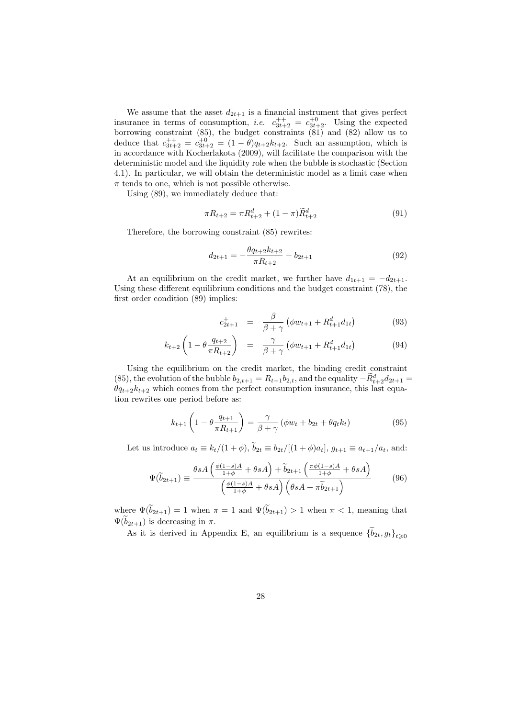We assume that the asset  $d_{2t+1}$  is a financial instrument that gives perfect insurance in terms of consumption, *i.e.*  $c_{3t+2}^{++} = c_{3t+2}^{+0}$ . Using the expected borrowing constraint (85), the budget constraints (81) and (82) allow us to deduce that  $c_{3t+2}^{++} = c_{3t+2}^{+0} = (1 - \theta)q_{t+2}k_{t+2}$ . Such an assumption, which is in accordance with Kocherlakota (2009), will facilitate the comparison with the deterministic model and the liquidity role when the bubble is stochastic (Section 4.1). In particular, we will obtain the deterministic model as a limit case when  $\pi$  tends to one, which is not possible otherwise.

Using (89), we immediately deduce that:

$$
\pi R_{t+2} = \pi R_{t+2}^d + (1 - \pi) \widetilde{R}_{t+2}^d \tag{91}
$$

Therefore, the borrowing constraint (85) rewrites:

$$
d_{2t+1} = -\frac{\theta q_{t+2} k_{t+2}}{\pi R_{t+2}} - b_{2t+1}
$$
\n(92)

At an equilibrium on the credit market, we further have  $d_{1t+1} = -d_{2t+1}$ . Using these different equilibrium conditions and the budget constraint (78), the first order condition (89) implies:

$$
c_{2t+1}^{+} = \frac{\beta}{\beta + \gamma} \left( \phi w_{t+1} + R_{t+1}^{d} d_{1t} \right) \tag{93}
$$

$$
k_{t+2} \left( 1 - \theta \frac{q_{t+2}}{\pi R_{t+2}} \right) = \frac{\gamma}{\beta + \gamma} \left( \phi w_{t+1} + R_{t+1}^d d_{1t} \right) \tag{94}
$$

Using the equilibrium on the credit market, the binding credit constraint (85), the evolution of the bubble  $b_{2,t+1} = R_{t+1}b_{2,t}$ , and the equality  $-\tilde{R}_{t+2}^d d_{2t+1} =$  $\theta q_{t+2}k_{t+2}$  which comes from the perfect consumption insurance, this last equation rewrites one period before as:

$$
k_{t+1}\left(1-\theta \frac{q_{t+1}}{\pi R_{t+1}}\right) = \frac{\gamma}{\beta+\gamma} \left(\phi w_t + b_{2t} + \theta q_t k_t\right) \tag{95}
$$

Let us introduce  $a_t \equiv k_t/(1+\phi)$ ,  $\tilde{b}_{2t} \equiv b_{2t}/[(1+\phi)a_t]$ ,  $g_{t+1} \equiv a_{t+1}/a_t$ , and:

$$
\Psi(\widetilde{b}_{2t+1}) \equiv \frac{\theta s A \left(\frac{\phi(1-s)A}{1+\phi} + \theta s A\right) + \widetilde{b}_{2t+1} \left(\frac{\pi \phi(1-s)A}{1+\phi} + \theta s A\right)}{\left(\frac{\phi(1-s)A}{1+\phi} + \theta s A\right) \left(\theta s A + \pi \widetilde{b}_{2t+1}\right)}\tag{96}
$$

where  $\Psi(\widetilde{b}_{2t+1}) = 1$  when  $\pi = 1$  and  $\Psi(\widetilde{b}_{2t+1}) > 1$  when  $\pi < 1$ , meaning that  $\Psi(\tilde{b}_{2t+1})$  is decreasing in  $\pi$ .

As it is derived in Appendix E, an equilibrium is a sequence  $\{b_{2t}, g_t\}_{t\geq0}$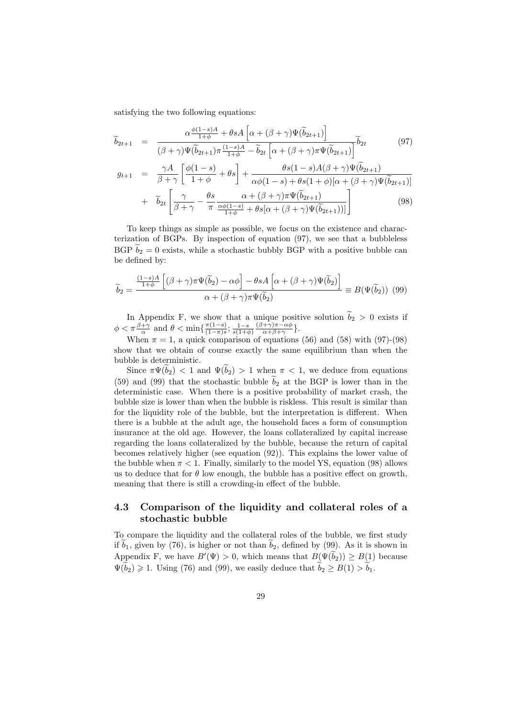satisfying the two following equations:

$$
\widetilde{b}_{2t+1} = \frac{\alpha \frac{\phi(1-s)A}{1+\phi} + \theta sA \left[ \alpha + (\beta + \gamma) \Psi(\widetilde{b}_{2t+1}) \right]}{(\beta + \gamma) \Psi(\widetilde{b}_{2t+1}) \pi \frac{(1-s)A}{1+\phi} - \widetilde{b}_{2t} \left[ \alpha + (\beta + \gamma) \pi \Psi(\widetilde{b}_{2t+1}) \right]} \widetilde{b}_{2t} \tag{97}
$$

$$
g_{t+1} = \frac{\gamma A}{\beta + \gamma} \left[ \frac{\phi(1-s)}{1+\phi} + \theta s \right] + \frac{\theta s(1-s)A(\beta + \gamma)\Psi(b_{2t+1})}{\alpha\phi(1-s) + \theta s(1+\phi)[\alpha + (\beta + \gamma)\Psi(\tilde{b}_{2t+1})]} + \tilde{b}_{2t} \left[ \frac{\gamma}{\beta + \gamma} - \frac{\theta s}{\pi} \frac{\alpha + (\beta + \gamma)\pi\Psi(\tilde{b}_{2t+1})}{\frac{\alpha\phi(1-s)}{1+\phi} + \theta s[\alpha + (\beta + \gamma)\Psi(\tilde{b}_{2t+1}))]} \right]
$$
(98)

To keep things as simple as possible, we focus on the existence and characterization of BGPs. By inspection of equation (97), we see that a bubbleless BGP  $b_2 = 0$  exists, while a stochastic bubbly BGP with a positive bubble can be defined by:

$$
\widetilde{b}_2 = \frac{\frac{(1-s)A}{1+\phi} \left[ (\beta + \gamma)\pi \Psi(\widetilde{b}_2) - \alpha \phi \right] - \theta sA \left[ \alpha + (\beta + \gamma)\Psi(\widetilde{b}_2) \right]}{\alpha + (\beta + \gamma)\pi \Psi(\widetilde{b}_2)} \equiv B(\Psi(\widetilde{b}_2)) \tag{99}
$$

In Appendix F, we show that a unique positive solution  $b_2 > 0$  exists if  $\phi < \pi \frac{\beta + \gamma}{\alpha}$  and  $\theta < \min\{\frac{\pi(1-s)}{(1-\pi)s}\}$  $\frac{\pi(1-s)}{(1-\pi)s}$ ;  $\frac{1-s}{s(1+\phi)}$  $(\beta+\gamma)\pi-\alpha\phi$  $\frac{+\gamma)\pi-\alpha\varphi}{\alpha+\beta+\gamma}$ .

When  $\pi = 1$ , a quick comparison of equations (56) and (58) with (97)-(98) show that we obtain of course exactly the same equilibrium than when the bubble is deterministic.

Since  $\pi \Psi(\tilde{b}_2)$  < 1 and  $\Psi(\tilde{b}_2) > 1$  when  $\pi < 1$ , we deduce from equations (59) and (99) that the stochastic bubble  $\tilde{b}_2$  at the BGP is lower than in the deterministic case. When there is a positive probability of market crash, the bubble size is lower than when the bubble is riskless. This result is similar than for the liquidity role of the bubble, but the interpretation is different. When there is a bubble at the adult age, the household faces a form of consumption insurance at the old age. However, the loans collateralized by capital increase regarding the loans collateralized by the bubble, because the return of capital becomes relatively higher (see equation (92)). This explains the lower value of the bubble when  $\pi < 1$ . Finally, similarly to the model YS, equation (98) allows us to deduce that for  $\theta$  low enough, the bubble has a positive effect on growth, meaning that there is still a crowding-in effect of the bubble.

### 4.3 Comparison of the liquidity and collateral roles of a stochastic bubble

To compare the liquidity and the collateral roles of the bubble, we first study if  $b_1$ , given by (76), is higher or not than  $b_2$ , defined by (99). As it is shown in Appendix F, we have  $B'(\Psi) > 0$ , which means that  $B(\Psi(\tilde{b}_2)) \ge B(1)$  because  $\Psi(b_2) \geq 1$ . Using (76) and (99), we easily deduce that  $b_2 \geq B(1) > b_1$ .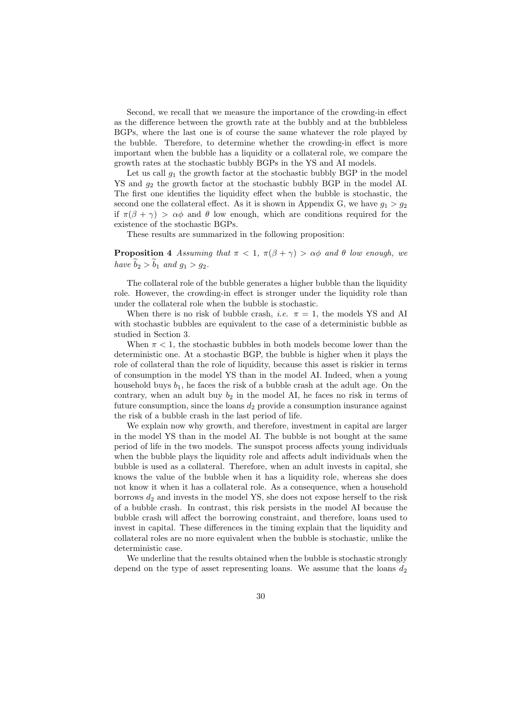Second, we recall that we measure the importance of the crowding-in effect as the difference between the growth rate at the bubbly and at the bubbleless BGPs, where the last one is of course the same whatever the role played by the bubble. Therefore, to determine whether the crowding-in effect is more important when the bubble has a liquidity or a collateral role, we compare the growth rates at the stochastic bubbly BGPs in the YS and AI models.

Let us call  $g_1$  the growth factor at the stochastic bubbly BGP in the model YS and  $q_2$  the growth factor at the stochastic bubbly BGP in the model AI. The first one identifies the liquidity effect when the bubble is stochastic, the second one the collateral effect. As it is shown in Appendix G, we have  $q_1 > q_2$ if  $\pi(\beta + \gamma) > \alpha\phi$  and  $\theta$  low enough, which are conditions required for the existence of the stochastic BGPs.

These results are summarized in the following proposition:

**Proposition 4** Assuming that  $\pi < 1$ ,  $\pi(\beta + \gamma) > \alpha\phi$  and  $\theta$  low enough, we have  $b_2 > b_1$  and  $g_1 > g_2$ .

The collateral role of the bubble generates a higher bubble than the liquidity role. However, the crowding-in effect is stronger under the liquidity role than under the collateral role when the bubble is stochastic.

When there is no risk of bubble crash, *i.e.*  $\pi = 1$ , the models YS and AI with stochastic bubbles are equivalent to the case of a deterministic bubble as studied in Section 3.

When  $\pi$  < 1, the stochastic bubbles in both models become lower than the deterministic one. At a stochastic BGP, the bubble is higher when it plays the role of collateral than the role of liquidity, because this asset is riskier in terms of consumption in the model YS than in the model AI. Indeed, when a young household buys  $b_1$ , he faces the risk of a bubble crash at the adult age. On the contrary, when an adult buy  $b_2$  in the model AI, he faces no risk in terms of future consumption, since the loans  $d_2$  provide a consumption insurance against the risk of a bubble crash in the last period of life.

We explain now why growth, and therefore, investment in capital are larger in the model YS than in the model AI. The bubble is not bought at the same period of life in the two models. The sunspot process affects young individuals when the bubble plays the liquidity role and affects adult individuals when the bubble is used as a collateral. Therefore, when an adult invests in capital, she knows the value of the bubble when it has a liquidity role, whereas she does not know it when it has a collateral role. As a consequence, when a household borrows  $d_2$  and invests in the model YS, she does not expose herself to the risk of a bubble crash. In contrast, this risk persists in the model AI because the bubble crash will affect the borrowing constraint, and therefore, loans used to invest in capital. These differences in the timing explain that the liquidity and collateral roles are no more equivalent when the bubble is stochastic, unlike the deterministic case.

We underline that the results obtained when the bubble is stochastic strongly depend on the type of asset representing loans. We assume that the loans  $d_2$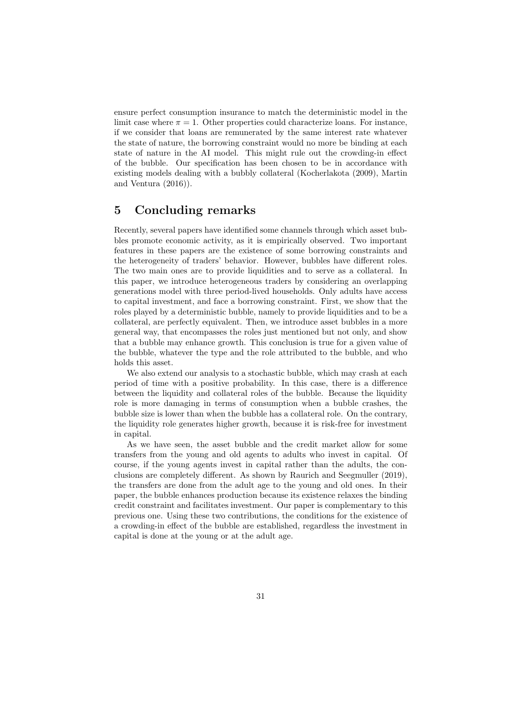ensure perfect consumption insurance to match the deterministic model in the limit case where  $\pi = 1$ . Other properties could characterize loans. For instance, if we consider that loans are remunerated by the same interest rate whatever the state of nature, the borrowing constraint would no more be binding at each state of nature in the AI model. This might rule out the crowding-in effect of the bubble. Our specification has been chosen to be in accordance with existing models dealing with a bubbly collateral (Kocherlakota (2009), Martin and Ventura (2016)).

### 5 Concluding remarks

Recently, several papers have identified some channels through which asset bubbles promote economic activity, as it is empirically observed. Two important features in these papers are the existence of some borrowing constraints and the heterogeneity of traders' behavior. However, bubbles have different roles. The two main ones are to provide liquidities and to serve as a collateral. In this paper, we introduce heterogeneous traders by considering an overlapping generations model with three period-lived households. Only adults have access to capital investment, and face a borrowing constraint. First, we show that the roles played by a deterministic bubble, namely to provide liquidities and to be a collateral, are perfectly equivalent. Then, we introduce asset bubbles in a more general way, that encompasses the roles just mentioned but not only, and show that a bubble may enhance growth. This conclusion is true for a given value of the bubble, whatever the type and the role attributed to the bubble, and who holds this asset.

We also extend our analysis to a stochastic bubble, which may crash at each period of time with a positive probability. In this case, there is a difference between the liquidity and collateral roles of the bubble. Because the liquidity role is more damaging in terms of consumption when a bubble crashes, the bubble size is lower than when the bubble has a collateral role. On the contrary, the liquidity role generates higher growth, because it is risk-free for investment in capital.

As we have seen, the asset bubble and the credit market allow for some transfers from the young and old agents to adults who invest in capital. Of course, if the young agents invest in capital rather than the adults, the conclusions are completely different. As shown by Raurich and Seegmuller (2019), the transfers are done from the adult age to the young and old ones. In their paper, the bubble enhances production because its existence relaxes the binding credit constraint and facilitates investment. Our paper is complementary to this previous one. Using these two contributions, the conditions for the existence of a crowding-in effect of the bubble are established, regardless the investment in capital is done at the young or at the adult age.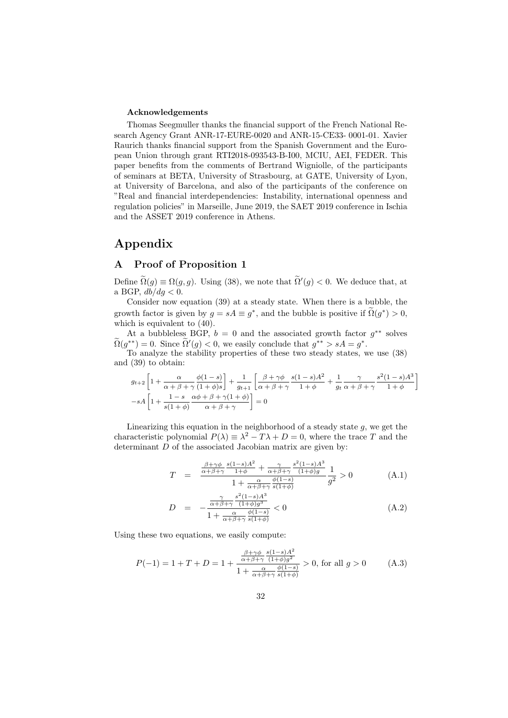#### Acknowledgements

Thomas Seegmuller thanks the financial support of the French National Research Agency Grant ANR-17-EURE-0020 and ANR-15-CE33- 0001-01. Xavier Raurich thanks financial support from the Spanish Government and the European Union through grant RTI2018-093543-B-I00, MCIU, AEI, FEDER. This paper benefits from the comments of Bertrand Wigniolle, of the participants of seminars at BETA, University of Strasbourg, at GATE, University of Lyon, at University of Barcelona, and also of the participants of the conference on "Real and financial interdependencies: Instability, international openness and regulation policies" in Marseille, June 2019, the SAET 2019 conference in Ischia and the ASSET 2019 conference in Athens.

### Appendix

### A Proof of Proposition 1

Define  $\widetilde{\Omega}(g) \equiv \Omega(g, g)$ . Using (38), we note that  $\widetilde{\Omega}'(g) < 0$ . We deduce that, at a BGP,  $db/dg < 0$ .

Consider now equation (39) at a steady state. When there is a bubble, the growth factor is given by  $g = sA \equiv g^*$ , and the bubble is positive if  $\tilde{\Omega}(g^*) > 0$ , which is equivalent to (40).

At a bubbleless BGP,  $b = 0$  and the associated growth factor  $g^{**}$  solves  $\widetilde{\Omega}(g^{**}) = 0$ . Since  $\widetilde{\Omega}'(g) < 0$ , we easily conclude that  $g^{**} > sA = g^*$ .

To analyze the stability properties of these two steady states, we use (38) and (39) to obtain:

$$
g_{t+2}\left[1+\frac{\alpha}{\alpha+\beta+\gamma}\frac{\phi(1-s)}{(1+\phi)s}\right]+\frac{1}{g_{t+1}}\left[\frac{\beta+\gamma\phi}{\alpha+\beta+\gamma}\frac{s(1-s)A^2}{1+\phi}+\frac{1}{g_t}\frac{\gamma}{\alpha+\beta+\gamma}\frac{s^2(1-s)A^3}{1+\phi}\right] -sA\left[1+\frac{1-s}{s(1+\phi)}\frac{\alpha\phi+\beta+\gamma(1+\phi)}{\alpha+\beta+\gamma}\right]=0
$$

Linearizing this equation in the neighborhood of a steady state  $g$ , we get the characteristic polynomial  $P(\lambda) \equiv \lambda^2 - T\lambda + D = 0$ , where the trace T and the determinant D of the associated Jacobian matrix are given by:

$$
T = \frac{\frac{\beta + \gamma \phi}{\alpha + \beta + \gamma} \frac{s(1-s)A^2}{1+\phi} + \frac{\gamma}{\alpha + \beta + \gamma} \frac{s^2(1-s)A^3}{(1+\phi)g}}{1 + \frac{\alpha}{\alpha + \beta + \gamma} \frac{\phi(1-s)}{s(1+\phi)}} \frac{1}{g^2} > 0
$$
 (A.1)

$$
D = -\frac{\frac{\gamma}{\alpha+\beta+\gamma} \frac{s^2(1-s)A^3}{(1+\phi)g^3}}{1+\frac{\alpha}{\alpha+\beta+\gamma} \frac{\phi(1-s)}{s(1+\phi)}} < 0
$$
\n(A.2)

Using these two equations, we easily compute:

$$
P(-1) = 1 + T + D = 1 + \frac{\frac{\beta + \gamma \phi}{\alpha + \beta + \gamma} \frac{s(1-s)A^2}{(1+\phi)g^2}}{1 + \frac{\alpha}{\alpha + \beta + \gamma} \frac{\phi(1-s)}{s(1+\phi)}} > 0, \text{ for all } g > 0 \tag{A.3}
$$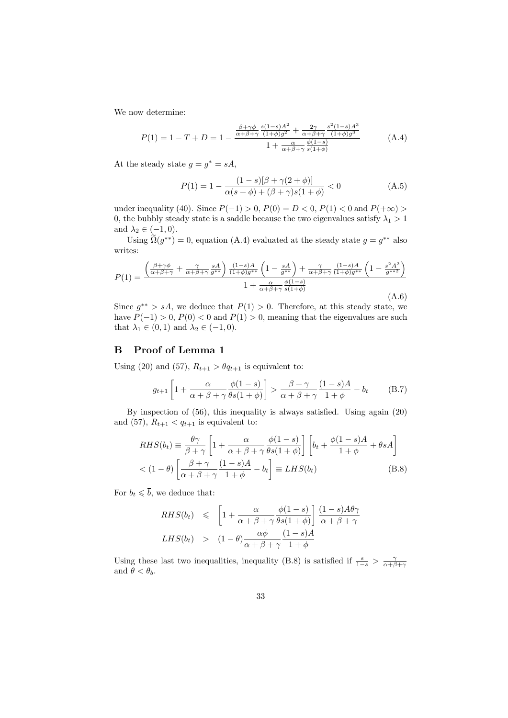We now determine:

$$
P(1) = 1 - T + D = 1 - \frac{\frac{\beta + \gamma \phi}{\alpha + \beta + \gamma} \frac{s(1 - s)A^2}{(1 + \phi)g^2} + \frac{2\gamma}{\alpha + \beta + \gamma} \frac{s^2(1 - s)A^3}{(1 + \phi)g^3}}{1 + \frac{\alpha}{\alpha + \beta + \gamma} \frac{\phi(1 - s)}{s(1 + \phi)}} \tag{A.4}
$$

At the steady state  $g = g^* = sA$ ,

$$
P(1) = 1 - \frac{(1 - s)[\beta + \gamma(2 + \phi)]}{\alpha(s + \phi) + (\beta + \gamma)s(1 + \phi)} < 0
$$
 (A.5)

under inequality (40). Since  $P(-1) > 0$ ,  $P(0) = D < 0$ ,  $P(1) < 0$  and  $P(+\infty) >$ 0, the bubbly steady state is a saddle because the two eigenvalues satisfy  $\lambda_1 > 1$ and  $\lambda_2 \in (-1,0)$ .

Using  $\widetilde{\Omega}(g^{**}) = 0$ , equation (A.4) evaluated at the steady state  $g = g^{**}$  also writes:

$$
P(1) = \frac{\left(\frac{\beta + \gamma \phi}{\alpha + \beta + \gamma} + \frac{\gamma}{\alpha + \beta + \gamma} \frac{sA}{g^{**}}\right) \frac{(1-s)A}{(1+\phi)g^{**}} \left(1 - \frac{sA}{g^{**}}\right) + \frac{\gamma}{\alpha + \beta + \gamma} \frac{(1-s)A}{(1+\phi)g^{**}} \left(1 - \frac{s^2A^2}{g^{**2}}\right)}{1 + \frac{\alpha}{\alpha + \beta + \gamma} \frac{\phi(1-s)}{s(1+\phi)}}
$$
(A.6)

Since  $g^{**} > sA$ , we deduce that  $P(1) > 0$ . Therefore, at this steady state, we have  $P(-1) > 0$ ,  $P(0) < 0$  and  $P(1) > 0$ , meaning that the eigenvalues are such that  $\lambda_1 \in (0,1)$  and  $\lambda_2 \in (-1,0)$ .

### B Proof of Lemma 1

Using (20) and (57),  $R_{t+1} > \theta q_{t+1}$  is equivalent to:

$$
g_{t+1}\left[1+\frac{\alpha}{\alpha+\beta+\gamma}\frac{\phi(1-s)}{\theta s(1+\phi)}\right] > \frac{\beta+\gamma}{\alpha+\beta+\gamma}\frac{(1-s)A}{1+\phi} - b_t \quad (B.7)
$$

By inspection of (56), this inequality is always satisfied. Using again (20) and (57),  $R_{t+1} < q_{t+1}$  is equivalent to:

$$
RHS(b_t) \equiv \frac{\theta \gamma}{\beta + \gamma} \left[ 1 + \frac{\alpha}{\alpha + \beta + \gamma} \frac{\phi(1 - s)}{\theta s(1 + \phi)} \right] \left[ b_t + \frac{\phi(1 - s)A}{1 + \phi} + \theta sA \right]
$$
  
< 
$$
< (1 - \theta) \left[ \frac{\beta + \gamma}{\alpha + \beta + \gamma} \frac{(1 - s)A}{1 + \phi} - b_t \right] \equiv LHS(b_t)
$$
(B.8)

For  $b_t \leqslant \overline{b}$ , we deduce that:

$$
RHS(b_t) \leq \left[1 + \frac{\alpha}{\alpha + \beta + \gamma} \frac{\phi(1-s)}{\theta s(1+\phi)}\right] \frac{(1-s)A\theta\gamma}{\alpha + \beta + \gamma}
$$
  

$$
LHS(b_t) > (1-\theta) \frac{\alpha\phi}{\alpha + \beta + \gamma} \frac{(1-s)A}{1+\phi}
$$

Using these last two inequalities, inequality (B.8) is satisfied if  $\frac{s}{1-s} > \frac{\gamma}{\alpha+\beta+\gamma}$ and  $\theta < \theta_b$ .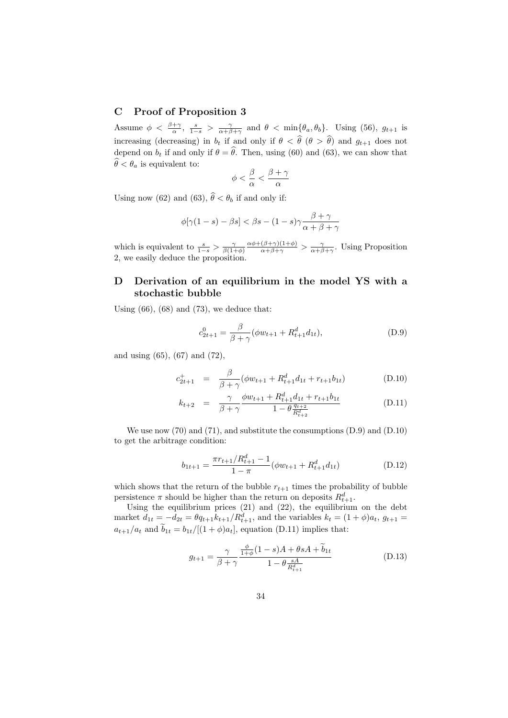### C Proof of Proposition 3

Assume  $\phi < \frac{\beta+\gamma}{\alpha}$ ,  $\frac{s}{1-s} > \frac{\gamma}{\alpha+\beta+\gamma}$  and  $\theta < \min{\lbrace \theta_a, \theta_b \rbrace}$ . Using (56),  $g_{t+1}$  is increasing (decreasing) in  $b_t$  if and only if  $\theta < \hat{\theta}$  ( $\theta > \hat{\theta}$ ) and  $g_{t+1}$  does not depend on  $b_t$  if and only if  $\theta = \hat{\theta}$ . Then, using (60) and (63), we can show that  $\widehat{\theta} < \theta_a$  is equivalent to:

$$
\phi < \frac{\beta}{\alpha} < \frac{\beta + \gamma}{\alpha}
$$

Using now (62) and (63),  $\hat{\theta} < \theta_b$  if and only if:

$$
\phi[\gamma(1-s) - \beta s] < \beta s - (1-s)\gamma \frac{\beta + \gamma}{\alpha + \beta + \gamma}
$$

which is equivalent to  $\frac{s}{1-s} > \frac{\gamma}{\beta(1+\phi)}$  $\frac{\alpha\phi+(\beta+\gamma)(1+\phi)}{\alpha+\beta+\gamma} > \frac{\gamma}{\alpha+\beta+\gamma}$ . Using Proposition 2, we easily deduce the proposition.

### D Derivation of an equilibrium in the model YS with a stochastic bubble

Using  $(66)$ ,  $(68)$  and  $(73)$ , we deduce that:

$$
c_{2t+1}^0 = \frac{\beta}{\beta + \gamma} (\phi w_{t+1} + R_{t+1}^d d_{1t}), \tag{D.9}
$$

and using (65), (67) and (72),

$$
c_{2t+1}^{+} = \frac{\beta}{\beta + \gamma} (\phi w_{t+1} + R_{t+1}^{d} d_{1t} + r_{t+1} b_{1t})
$$
 (D.10)

$$
k_{t+2} = \frac{\gamma}{\beta + \gamma} \frac{\phi w_{t+1} + R_{t+1}^d d_{1t} + r_{t+1} b_{1t}}{1 - \theta \frac{q_{t+2}}{R_{t+2}^d}}
$$
(D.11)

We use now (70) and (71), and substitute the consumptions (D.9) and (D.10) to get the arbitrage condition:

$$
b_{1t+1} = \frac{\pi r_{t+1} / R_{t+1}^d - 1}{1 - \pi} (\phi w_{t+1} + R_{t+1}^d d_{1t})
$$
 (D.12)

which shows that the return of the bubble  $r_{t+1}$  times the probability of bubble persistence  $\pi$  should be higher than the return on deposits  $R_{t+1}^d$ .

Using the equilibrium prices (21) and (22), the equilibrium on the debt market  $d_{1t} = -d_{2t} = \theta q_{t+1} k_{t+1} / R_{t+1}^d$ , and the variables  $k_t = (1 + \phi)a_t$ ,  $g_{t+1} =$  $a_{t+1}/a_t$  and  $\widetilde{b}_{1t} = b_{1t}/[(1+\phi)a_t]$ , equation (D.11) implies that:

$$
g_{t+1} = \frac{\gamma}{\beta + \gamma} \frac{\frac{\phi}{1 + \phi} (1 - s)A + \theta sA + \widetilde{b}_{1t}}{1 - \theta \frac{sA}{R_{t+1}^d}}
$$
(D.13)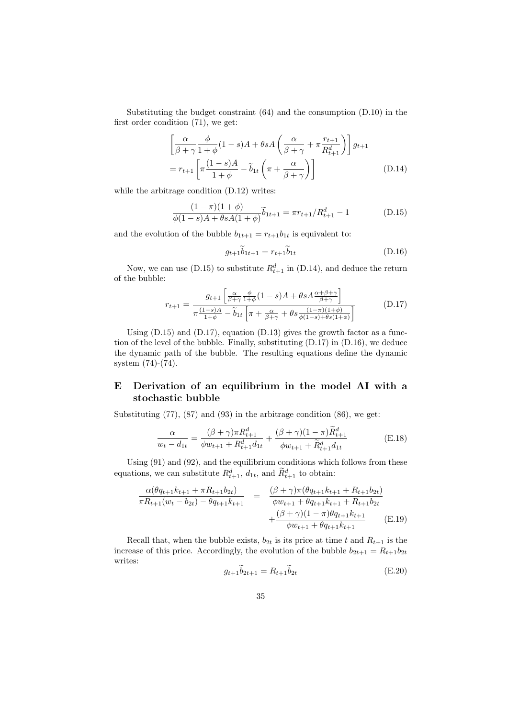Substituting the budget constraint (64) and the consumption (D.10) in the first order condition (71), we get:

$$
\left[\frac{\alpha}{\beta+\gamma}\frac{\phi}{1+\phi}(1-s)A+\theta sA\left(\frac{\alpha}{\beta+\gamma}+\pi\frac{r_{t+1}}{R_{t+1}^d}\right)\right]g_{t+1}
$$

$$
=r_{t+1}\left[\pi\frac{(1-s)A}{1+\phi}-\tilde{b}_{1t}\left(\pi+\frac{\alpha}{\beta+\gamma}\right)\right]
$$
(D.14)

while the arbitrage condition  $(D.12)$  writes:

$$
\frac{(1-\pi)(1+\phi)}{\phi(1-s)A+\theta sA(1+\phi)}\tilde{b}_{1t+1} = \pi r_{t+1}/R_{t+1}^d - 1
$$
 (D.15)

and the evolution of the bubble  $\boldsymbol{b}_{1t+1} = \boldsymbol{r}_{t+1}\boldsymbol{b}_{1t}$  is equivalent to:

$$
g_{t+1}\tilde{b}_{1t+1} = r_{t+1}\tilde{b}_{1t} \tag{D.16}
$$

Now, we can use (D.15) to substitute  $R_{t+1}^d$  in (D.14), and deduce the return of the bubble:

$$
r_{t+1} = \frac{g_{t+1} \left[ \frac{\alpha}{\beta + \gamma} \frac{\phi}{1 + \phi} (1 - s) A + \theta s A \frac{\alpha + \beta + \gamma}{\beta + \gamma} \right]}{\pi \frac{(1 - s) A}{1 + \phi} - \widetilde{b}_{1t} \left[ \pi + \frac{\alpha}{\beta + \gamma} + \theta s \frac{(1 - \pi)(1 + \phi)}{\phi(1 - s) + \theta s(1 + \phi)} \right]}
$$
(D.17)

Using  $(D.15)$  and  $(D.17)$ , equation  $(D.13)$  gives the growth factor as a function of the level of the bubble. Finally, substituting (D.17) in (D.16), we deduce the dynamic path of the bubble. The resulting equations define the dynamic system (74)-(74).

### E Derivation of an equilibrium in the model AI with a stochastic bubble

Substituting  $(77)$ ,  $(87)$  and  $(93)$  in the arbitrage condition  $(86)$ , we get:

$$
\frac{\alpha}{w_t - d_{1t}} = \frac{(\beta + \gamma)\pi R_{t+1}^d}{\phi w_{t+1} + R_{t+1}^d d_{1t}} + \frac{(\beta + \gamma)(1 - \pi)\tilde{R}_{t+1}^d}{\phi w_{t+1} + \tilde{R}_{t+1}^d d_{1t}} \tag{E.18}
$$

Using  $(91)$  and  $(92)$ , and the equilibrium conditions which follows from these equations, we can substitute  $R_{t+1}^d$ ,  $d_{1t}$ , and  $\widetilde{R}_{t+1}^d$  to obtain:

$$
\frac{\alpha(\theta q_{t+1}k_{t+1} + \pi R_{t+1}b_{2t})}{\pi R_{t+1}(w_t - b_{2t}) - \theta q_{t+1}k_{t+1}} = \frac{(\beta + \gamma)\pi(\theta q_{t+1}k_{t+1} + R_{t+1}b_{2t})}{\phi w_{t+1} + \theta q_{t+1}k_{t+1} + R_{t+1}b_{2t}} + \frac{(\beta + \gamma)(1 - \pi)\theta q_{t+1}k_{t+1}}{\phi w_{t+1} + \theta q_{t+1}k_{t+1}}
$$
(E.19)

Recall that, when the bubble exists,  $b_{2t}$  is its price at time t and  $R_{t+1}$  is the increase of this price. Accordingly, the evolution of the bubble  $b_{2t+1} = R_{t+1}b_{2t}$ writes:

$$
g_{t+1}\dot{b}_{2t+1} = R_{t+1}\dot{b}_{2t} \tag{E.20}
$$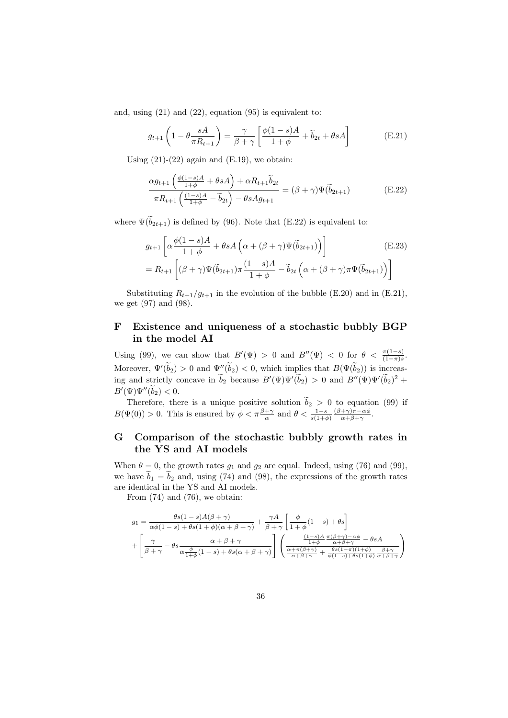and, using  $(21)$  and  $(22)$ , equation  $(95)$  is equivalent to:

$$
g_{t+1}\left(1-\theta \frac{sA}{\pi R_{t+1}}\right) = \frac{\gamma}{\beta+\gamma} \left[\frac{\phi(1-s)A}{1+\phi} + \widetilde{b}_{2t} + \theta sA\right]
$$
(E.21)

Using  $(21)-(22)$  again and  $(E.19)$ , we obtain:

$$
\frac{\alpha g_{t+1}\left(\frac{\phi(1-s)A}{1+\phi} + \theta sA\right) + \alpha R_{t+1}\tilde{b}_{2t}}{\pi R_{t+1}\left(\frac{(1-s)A}{1+\phi} - \tilde{b}_{2t}\right) - \theta s A g_{t+1}} = (\beta + \gamma)\Psi(\tilde{b}_{2t+1})
$$
(E.22)

where  $\Psi(\widetilde{b}_{2t+1})$  is defined by (96). Note that (E.22) is equivalent to:

$$
g_{t+1} \left[ \alpha \frac{\phi(1-s)A}{1+\phi} + \theta s A \left( \alpha + (\beta + \gamma) \Psi(\tilde{b}_{2t+1}) \right) \right]
$$
(E.23)  
=  $R_{t+1} \left[ (\beta + \gamma) \Psi(\tilde{b}_{2t+1}) \pi \frac{(1-s)A}{1+\phi} - \tilde{b}_{2t} \left( \alpha + (\beta + \gamma) \pi \Psi(\tilde{b}_{2t+1}) \right) \right]$ 

Substituting  $R_{t+1}/g_{t+1}$  in the evolution of the bubble (E.20) and in (E.21), we get (97) and (98).

### F Existence and uniqueness of a stochastic bubbly BGP in the model AI

Using (99), we can show that  $B'(\Psi) > 0$  and  $B''(\Psi) < 0$  for  $\theta < \frac{\pi(1-s)}{(1-\pi)s}$ . Moreover,  $\Psi'(\tilde{b}_2) > 0$  and  $\Psi''(\tilde{b}_2) < 0$ , which implies that  $B(\Psi(\tilde{b}_2))$  is increasing and strictly concave in  $\tilde{b}_2$  because  $B'(\Psi)\Psi'(\tilde{b}_2) > 0$  and  $B''(\Psi)\Psi'(\tilde{b}_2)^2 +$  $B'(\Psi)\Psi''(\bar{b}_2) < 0.$ 

Therefore, there is a unique positive solution  $b_2 > 0$  to equation (99) if  $B(\Psi(0)) > 0$ . This is ensured by  $\phi < \pi \frac{\beta + \gamma}{\alpha}$  and  $\theta < \frac{1-s}{s(1+\phi)}$  $(\beta+\gamma)\pi-\alpha\phi$  $\frac{+\gamma)\pi-\alpha\varphi}{\alpha+\beta+\gamma}.$ 

### G Comparison of the stochastic bubbly growth rates in the YS and AI models

When  $\theta = 0$ , the growth rates  $g_1$  and  $g_2$  are equal. Indeed, using (76) and (99), we have  $b_1 = b_2$  and, using (74) and (98), the expressions of the growth rates are identical in the YS and AI models.

From  $(74)$  and  $(76)$ , we obtain:

$$
g_1 = \frac{\theta s (1 - s) A(\beta + \gamma)}{\alpha \phi (1 - s) + \theta s (1 + \phi)(\alpha + \beta + \gamma)} + \frac{\gamma A}{\beta + \gamma} \left[ \frac{\phi}{1 + \phi} (1 - s) + \theta s \right] + \left[ \frac{\gamma}{\beta + \gamma} - \theta s \frac{\alpha + \beta + \gamma}{\alpha + \beta + \gamma}}{\alpha + \beta + \gamma} \right] \left( \frac{\frac{(1 - s)A}{1 + \phi} \frac{\pi(\beta + \gamma) - \alpha \phi}{\alpha + \beta + \gamma} - \theta s A}{\frac{1 + \phi}{\alpha + \beta + \gamma} + \frac{\theta s (1 - \pi)(1 + \phi)}{\phi (1 - s) + \theta s (1 + \phi)} \frac{\beta + \gamma}{\alpha + \beta + \gamma}} \right)
$$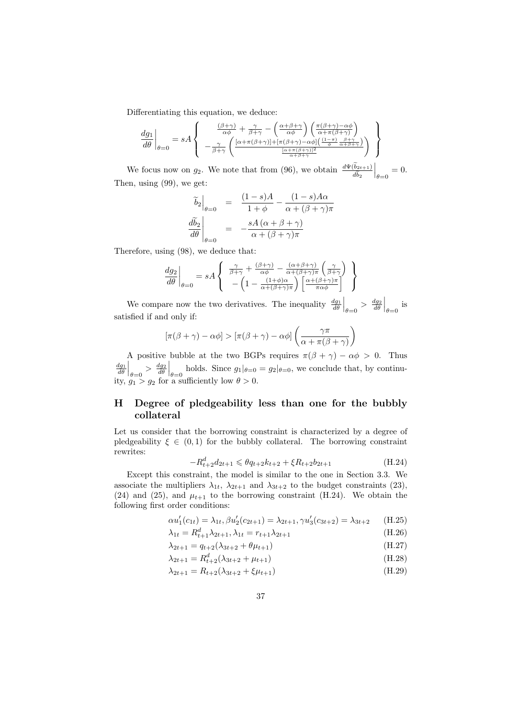Differentiating this equation, we deduce:

$$
\left. \frac{dg_1}{d\theta} \right|_{\theta=0} = sA \left\{ \left. \begin{array}{c} \frac{(\beta+\gamma)}{\alpha\phi} + \frac{\gamma}{\beta+\gamma} - \left( \frac{\alpha+\beta+\gamma}{\alpha\phi} \right) \left( \frac{\pi(\beta+\gamma)-\alpha\phi}{\alpha+\pi(\beta+\gamma)} \right) \\ -\frac{\gamma}{\beta+\gamma} \left( \frac{[\alpha+\pi(\beta+\gamma)]+[\pi(\beta+\gamma)-\alpha\phi] \left( \frac{(1-\pi)}{\phi} \frac{\beta+\gamma}{\alpha+\beta+\gamma} \right)}{ \frac{[\alpha+\pi(\beta+\gamma)]^2}{\alpha+\beta+\gamma} \end{array} \right) \right\}
$$

We focus now on  $g_2$ . We note that from (96), we obtain  $\frac{d\Psi(b_{2t+1})}{d\tilde{b}_2}$  $\Big|_{\theta=0}=0.$ Then, using (99), we get:

$$
\begin{aligned}\n\widetilde{b}_2\Big|_{\theta=0} &= \frac{(1-s)A}{1+\phi} - \frac{(1-s)A\alpha}{\alpha + (\beta + \gamma)\pi} \\
\frac{d\widetilde{b}_2}{d\theta}\Big|_{\theta=0} &= -\frac{sA(\alpha + \beta + \gamma)}{\alpha + (\beta + \gamma)\pi}\n\end{aligned}
$$

Therefore, using (98), we deduce that:

$$
\frac{dg_2}{d\theta}\Big|_{\theta=0} = sA \left\{ \begin{array}{c} \frac{\gamma}{\beta+\gamma} + \frac{(\beta+\gamma)}{\alpha\phi} - \frac{(\alpha+\beta+\gamma)}{\alpha+(\beta+\gamma)\pi} \left(\frac{\gamma}{\beta+\gamma}\right) \\ -\left(1 - \frac{(1+\phi)\alpha}{\alpha+(\beta+\gamma)\pi}\right) \left[\frac{\alpha+(\beta+\gamma)\pi}{\pi\alpha\phi}\right] \end{array} \right\}
$$

We compare now the two derivatives. The inequality  $\frac{dg_1}{d\theta}\Big|_{\theta=0} > \frac{dg_2}{d\theta}\Big|_{\theta=0}$  is satisfied if and only if:

$$
[\pi(\beta + \gamma) - \alpha \phi] > [\pi(\beta + \gamma) - \alpha \phi] \left( \frac{\gamma \pi}{\alpha + \pi(\beta + \gamma)} \right)
$$

A positive bubble at the two BGPs requires  $\pi(\beta + \gamma) - \alpha \phi > 0$ . Thus  $\frac{dq_1}{d\theta}\Big|_{\theta=0} > \frac{dq_2}{d\theta}\Big|_{\theta=0}$  holds. Since  $g_1|_{\theta=0} = g_2|_{\theta=0}$ , we conclude that, by continuity,  $g_1 > g_2$  for a sufficiently low  $\theta > 0$ .

### H Degree of pledgeability less than one for the bubbly collateral

Let us consider that the borrowing constraint is characterized by a degree of pledgeability  $\xi \in (0,1)$  for the bubbly collateral. The borrowing constraint rewrites:

$$
-R_{t+2}^d d_{2t+1} \leq \theta q_{t+2} k_{t+2} + \xi R_{t+2} b_{2t+1}
$$
\n(H.24)

Except this constraint, the model is similar to the one in Section 3.3. We associate the multipliers  $\lambda_{1t}$ ,  $\lambda_{2t+1}$  and  $\lambda_{3t+2}$  to the budget constraints (23), (24) and (25), and  $\mu_{t+1}$  to the borrowing constraint (H.24). We obtain the following first order conditions:

$$
\alpha u_1'(c_{1t}) = \lambda_{1t}, \beta u_2'(c_{2t+1}) = \lambda_{2t+1}, \gamma u_3'(c_{3t+2}) = \lambda_{3t+2} \quad (H.25)
$$

$$
\lambda_{1t} = R_{t+1}^d \lambda_{2t+1}, \lambda_{1t} = r_{t+1} \lambda_{2t+1}
$$
\n(H.26)

$$
\lambda_{2t+1} = q_{t+2}(\lambda_{3t+2} + \theta \mu_{t+1})
$$
\n(H.27)

$$
\lambda_{2t+1} = R_{t+2}^d(\lambda_{3t+2} + \mu_{t+1})
$$
\n(H.28)

$$
\lambda_{2t+1} = R_{t+2}(\lambda_{3t+2} + \xi \mu_{t+1})
$$
\n(H.29)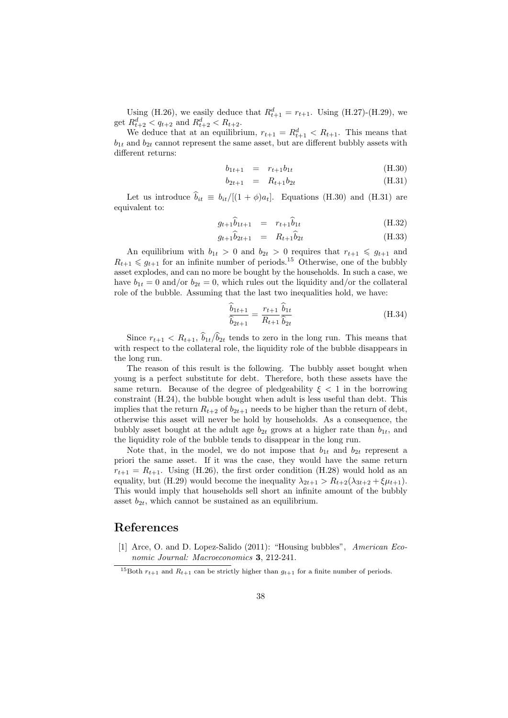Using (H.26), we easily deduce that  $R_{t+1}^d = r_{t+1}$ . Using (H.27)-(H.29), we get  $R_{t+2}^d < q_{t+2}$  and  $R_{t+2}^d < R_{t+2}$ .

We deduce that at an equilibrium,  $r_{t+1} = R_{t+1}^d < R_{t+1}$ . This means that  $b_{1t}$  and  $b_{2t}$  cannot represent the same asset, but are different bubbly assets with different returns:

$$
b_{1t+1} = r_{t+1}b_{1t} \tag{H.30}
$$

$$
b_{2t+1} = R_{t+1}b_{2t} \tag{H.31}
$$

Let us introduce  $\hat{b}_{it} \equiv b_{it}/[(1 + \phi)a_t]$ . Equations (H.30) and (H.31) are equivalent to:

$$
g_{t+1}\hat{b}_{1t+1} = r_{t+1}\hat{b}_{1t} \tag{H.32}
$$

$$
g_{t+1}\widehat{b}_{2t+1} = R_{t+1}\widehat{b}_{2t} \tag{H.33}
$$

An equilibrium with  $b_{1t} > 0$  and  $b_{2t} > 0$  requires that  $r_{t+1} \leq g_{t+1}$  and  $R_{t+1} \leqslant g_{t+1}$  for an infinite number of periods.<sup>15</sup> Otherwise, one of the bubbly asset explodes, and can no more be bought by the households. In such a case, we have  $b_{1t} = 0$  and/or  $b_{2t} = 0$ , which rules out the liquidity and/or the collateral role of the bubble. Assuming that the last two inequalities hold, we have:

$$
\frac{\hat{b}_{1t+1}}{\hat{b}_{2t+1}} = \frac{r_{t+1}}{R_{t+1}} \frac{\hat{b}_{1t}}{\hat{b}_{2t}} \tag{H.34}
$$

Since  $r_{t+1} < R_{t+1}$ ,  $\hat{b}_{1t}/\hat{b}_{2t}$  tends to zero in the long run. This means that with respect to the collateral role, the liquidity role of the bubble disappears in the long run.

The reason of this result is the following. The bubbly asset bought when young is a perfect substitute for debt. Therefore, both these assets have the same return. Because of the degree of pledgeability  $\xi < 1$  in the borrowing constraint (H.24), the bubble bought when adult is less useful than debt. This implies that the return  $R_{t+2}$  of  $b_{2t+1}$  needs to be higher than the return of debt, otherwise this asset will never be hold by households. As a consequence, the bubbly asset bought at the adult age  $b_{2t}$  grows at a higher rate than  $b_{1t}$ , and the liquidity role of the bubble tends to disappear in the long run.

Note that, in the model, we do not impose that  $b_{1t}$  and  $b_{2t}$  represent a priori the same asset. If it was the case, they would have the same return  $r_{t+1} = R_{t+1}$ . Using (H.26), the first order condition (H.28) would hold as an equality, but (H.29) would become the inequality  $\lambda_{2t+1} > R_{t+2}(\lambda_{3t+2} + \xi \mu_{t+1}).$ This would imply that households sell short an infinite amount of the bubbly asset  $b_{2t}$ , which cannot be sustained as an equilibrium.

### References

[1] Arce, O. and D. Lopez-Salido (2011): "Housing bubbles", American Economic Journal: Macroeconomics 3, 212-241.

<sup>&</sup>lt;sup>15</sup>Both  $r_{t+1}$  and  $R_{t+1}$  can be strictly higher than  $g_{t+1}$  for a finite number of periods.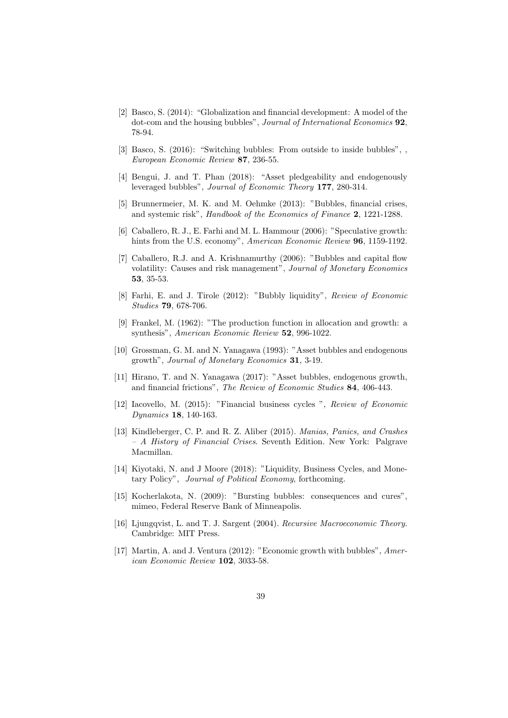- [2] Basco, S. (2014): "Globalization and financial development: A model of the dot-com and the housing bubbles", Journal of International Economics 92, 78-94.
- [3] Basco, S. (2016): "Switching bubbles: From outside to inside bubbles", European Economic Review 87, 236-55.
- [4] Bengui, J. and T. Phan (2018): "Asset pledgeability and endogenously leveraged bubbles", Journal of Economic Theory 177, 280-314.
- [5] Brunnermeier, M. K. and M. Oehmke (2013): "Bubbles, financial crises, and systemic risk", Handbook of the Economics of Finance 2, 1221-1288.
- [6] Caballero, R. J., E. Farhi and M. L. Hammour (2006): "Speculative growth: hints from the U.S. economy", *American Economic Review* **96**, 1159-1192.
- [7] Caballero, R.J. and A. Krishnamurthy (2006): "Bubbles and capital flow volatility: Causes and risk management", Journal of Monetary Economics 53, 35-53.
- [8] Farhi, E. and J. Tirole (2012): "Bubbly liquidity", Review of Economic Studies 79, 678-706.
- [9] Frankel, M. (1962): "The production function in allocation and growth: a synthesis", American Economic Review 52, 996-1022.
- [10] Grossman, G. M. and N. Yanagawa (1993): "Asset bubbles and endogenous growth", Journal of Monetary Economics 31, 3-19.
- [11] Hirano, T. and N. Yanagawa (2017): "Asset bubbles, endogenous growth, and financial frictions", The Review of Economic Studies 84, 406-443.
- [12] Iacovello, M. (2015): "Financial business cycles ", Review of Economic Dynamics 18, 140-163.
- [13] Kindleberger, C. P. and R. Z. Aliber (2015). Manias, Panics, and Crashes – A History of Financial Crises. Seventh Edition. New York: Palgrave Macmillan.
- [14] Kiyotaki, N. and J Moore (2018): "Liquidity, Business Cycles, and Monetary Policy", Journal of Political Economy, forthcoming.
- [15] Kocherlakota, N. (2009): "Bursting bubbles: consequences and cures", mimeo, Federal Reserve Bank of Minneapolis.
- [16] Ljungqvist, L. and T. J. Sargent (2004). Recursive Macroeconomic Theory. Cambridge: MIT Press.
- [17] Martin, A. and J. Ventura (2012): "Economic growth with bubbles", American Economic Review 102, 3033-58.